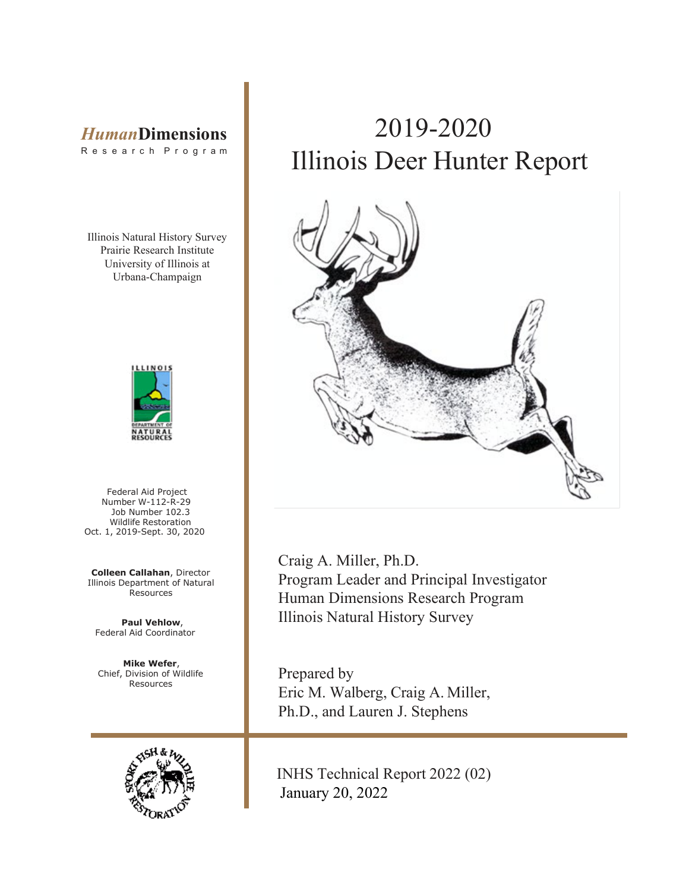## *Human***Dimensions**

R e s e a r c h P r o g r a m

Illinois Natural History Survey Prairie Research Institute University of Illinois at Urbana-Champaign



Federal Aid Project Number W-112-R-29 Job Number 102.3 Wildlife Restoration Oct. 1, 2019-Sept. 30, 2020

**Colleen Callahan**, Director Illinois Department of Natural Resources

**Paul Vehlow**, Federal Aid Coordinator

**Mike Wefer**, Chief, Division of Wildlife Resources



## 2019-2020 Illinois Deer Hunter Report



Craig A. Miller, Ph.D. Program Leader and Principal Investigator Human Dimensions Research Program Illinois Natural History Survey

Prepared by Eric M. Walberg, Craig A. Miller, Ph.D., and Lauren J. Stephens

INHS Technical Report 2022 (02) January 20, 2022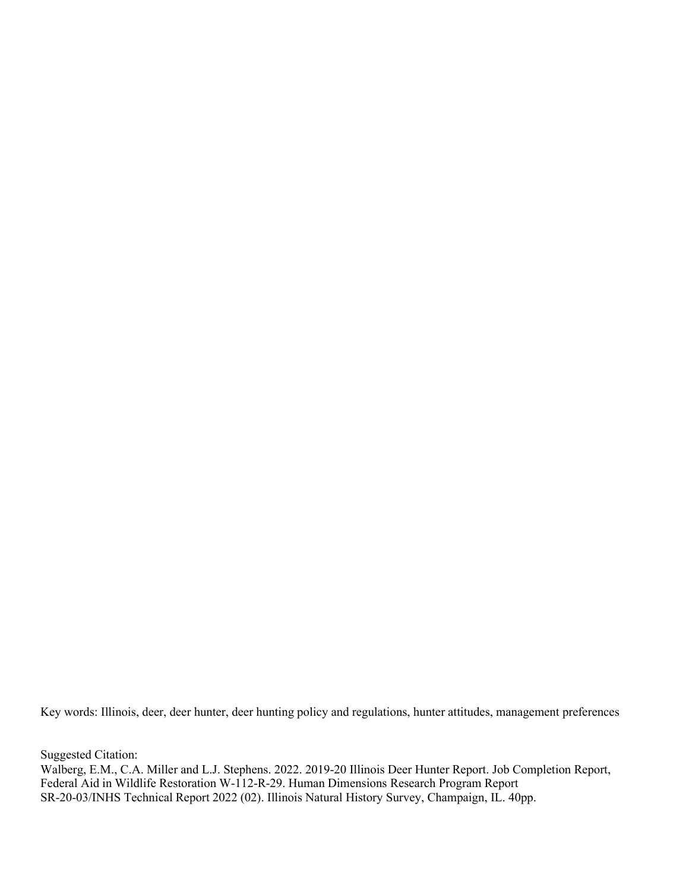Key words: Illinois, deer, deer hunter, deer hunting policy and regulations, hunter attitudes, management preferences

Suggested Citation:

Walberg, E.M., C.A. Miller and L.J. Stephens. 2022. 2019-20 Illinois Deer Hunter Report. Job Completion Report, Federal Aid in Wildlife Restoration W-112-R-29. Human Dimensions Research Program Report SR-20-03/INHS Technical Report 2022 (02). Illinois Natural History Survey, Champaign, IL. 40pp.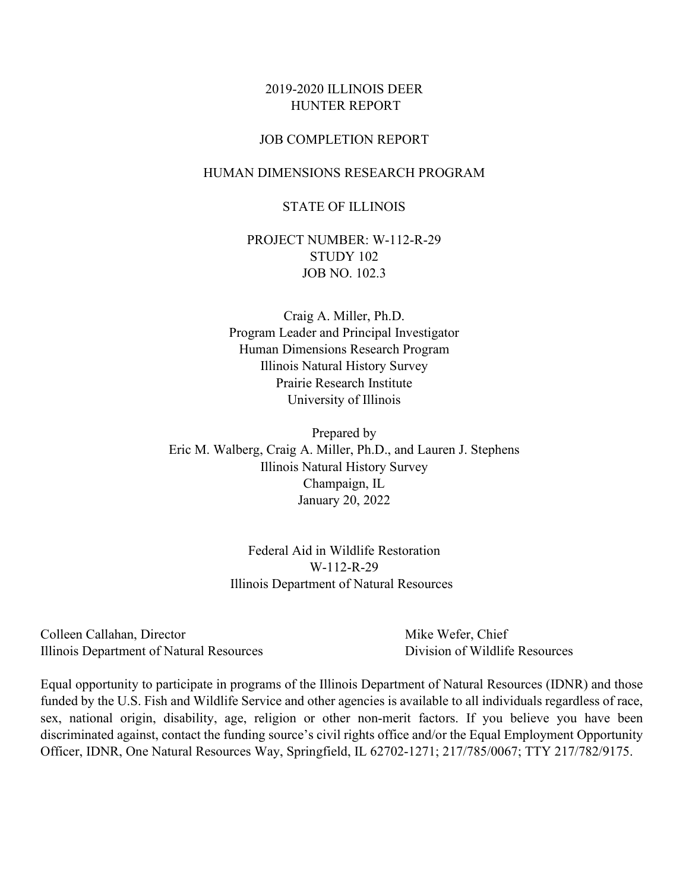#### 2019-2020 ILLINOIS DEER HUNTER REPORT

#### JOB COMPLETION REPORT

#### HUMAN DIMENSIONS RESEARCH PROGRAM

#### STATE OF ILLINOIS

PROJECT NUMBER: W-112-R-29 STUDY 102 JOB NO. 102.3

Craig A. Miller, Ph.D. Program Leader and Principal Investigator Human Dimensions Research Program Illinois Natural History Survey Prairie Research Institute University of Illinois

Prepared by Eric M. Walberg, Craig A. Miller, Ph.D., and Lauren J. Stephens Illinois Natural History Survey Champaign, IL January 20, 2022

> Federal Aid in Wildlife Restoration W-112-R-29 Illinois Department of Natural Resources

Colleen Callahan, Director **Mike Wefer, Chief** Illinois Department of Natural Resources Division of Wildlife Resources

Equal opportunity to participate in programs of the Illinois Department of Natural Resources (IDNR) and those funded by the U.S. Fish and Wildlife Service and other agencies is available to all individuals regardless of race, sex, national origin, disability, age, religion or other non-merit factors. If you believe you have been discriminated against, contact the funding source's civil rights office and/or the Equal Employment Opportunity Officer, IDNR, One Natural Resources Way, Springfield, IL 62702-1271; 217/785/0067; TTY 217/782/9175.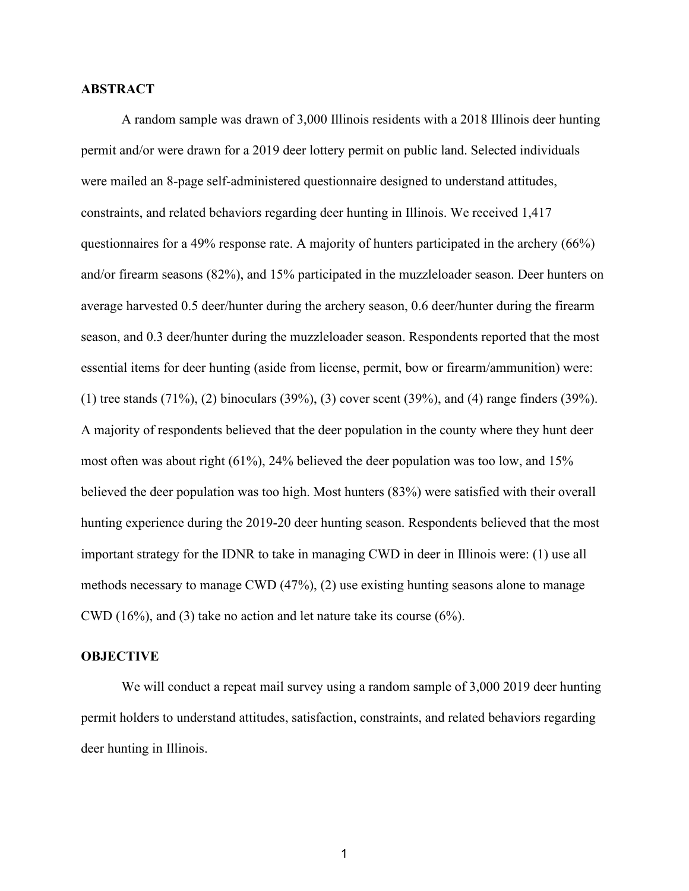#### **ABSTRACT**

A random sample was drawn of 3,000 Illinois residents with a 2018 Illinois deer hunting permit and/or were drawn for a 2019 deer lottery permit on public land. Selected individuals were mailed an 8-page self-administered questionnaire designed to understand attitudes, constraints, and related behaviors regarding deer hunting in Illinois. We received 1,417 questionnaires for a 49% response rate. A majority of hunters participated in the archery (66%) and/or firearm seasons (82%), and 15% participated in the muzzleloader season. Deer hunters on average harvested 0.5 deer/hunter during the archery season, 0.6 deer/hunter during the firearm season, and 0.3 deer/hunter during the muzzleloader season. Respondents reported that the most essential items for deer hunting (aside from license, permit, bow or firearm/ammunition) were: (1) tree stands (71%), (2) binoculars (39%), (3) cover scent (39%), and (4) range finders (39%). A majority of respondents believed that the deer population in the county where they hunt deer most often was about right (61%), 24% believed the deer population was too low, and 15% believed the deer population was too high. Most hunters (83%) were satisfied with their overall hunting experience during the 2019-20 deer hunting season. Respondents believed that the most important strategy for the IDNR to take in managing CWD in deer in Illinois were: (1) use all methods necessary to manage CWD (47%), (2) use existing hunting seasons alone to manage CWD (16%), and (3) take no action and let nature take its course (6%).

#### **OBJECTIVE**

We will conduct a repeat mail survey using a random sample of 3,000 2019 deer hunting permit holders to understand attitudes, satisfaction, constraints, and related behaviors regarding deer hunting in Illinois.

1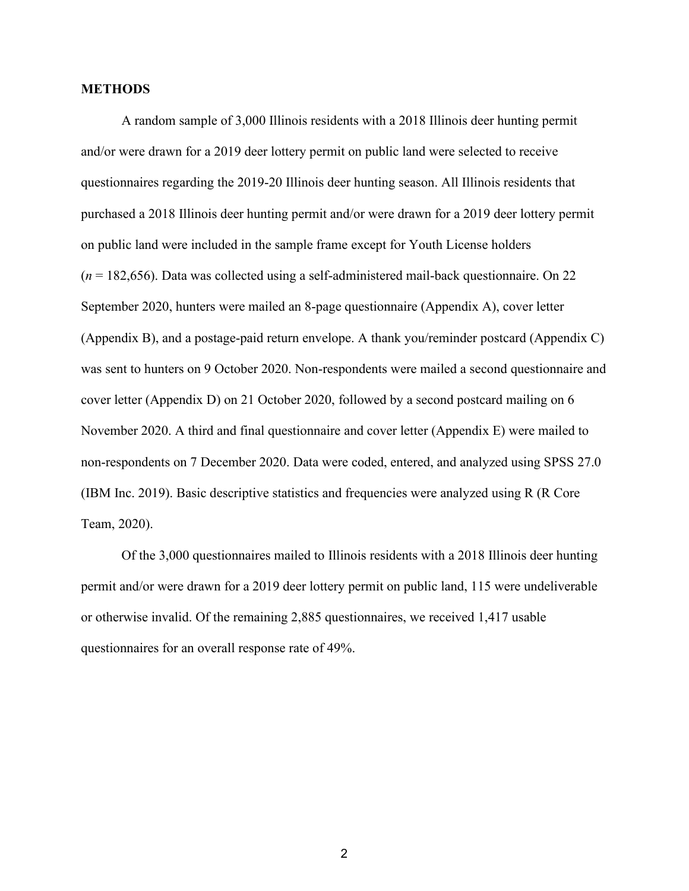#### **METHODS**

A random sample of 3,000 Illinois residents with a 2018 Illinois deer hunting permit and/or were drawn for a 2019 deer lottery permit on public land were selected to receive questionnaires regarding the 2019-20 Illinois deer hunting season. All Illinois residents that purchased a 2018 Illinois deer hunting permit and/or were drawn for a 2019 deer lottery permit on public land were included in the sample frame except for Youth License holders (*n* = 182,656). Data was collected using a self-administered mail-back questionnaire. On 22 September 2020, hunters were mailed an 8-page questionnaire (Appendix A), cover letter (Appendix B), and a postage-paid return envelope. A thank you/reminder postcard (Appendix C) was sent to hunters on 9 October 2020. Non-respondents were mailed a second questionnaire and cover letter (Appendix D) on 21 October 2020, followed by a second postcard mailing on 6 November 2020. A third and final questionnaire and cover letter (Appendix E) were mailed to non-respondents on 7 December 2020. Data were coded, entered, and analyzed using SPSS 27.0 (IBM Inc. 2019). Basic descriptive statistics and frequencies were analyzed using R (R Core Team, 2020).

Of the 3,000 questionnaires mailed to Illinois residents with a 2018 Illinois deer hunting permit and/or were drawn for a 2019 deer lottery permit on public land, 115 were undeliverable or otherwise invalid. Of the remaining 2,885 questionnaires, we received 1,417 usable questionnaires for an overall response rate of 49%.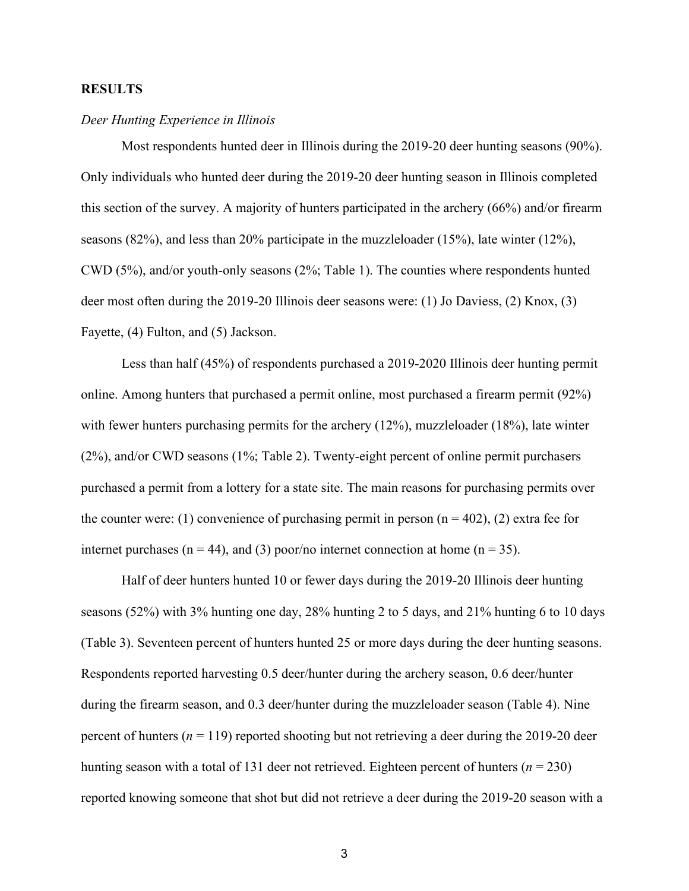#### **RESULTS**

#### *Deer Hunting Experience in Illinois*

Most respondents hunted deer in Illinois during the 2019-20 deer hunting seasons (90%). Only individuals who hunted deer during the 2019-20 deer hunting season in Illinois completed this section of the survey. A majority of hunters participated in the archery (66%) and/or firearm seasons  $(82\%)$ , and less than 20% participate in the muzzleloader  $(15\%)$ , late winter  $(12\%)$ , CWD (5%), and/or youth-only seasons (2%; [Table 1\)](#page-8-0). The counties where respondents hunted deer most often during the 2019-20 Illinois deer seasons were: (1) Jo Daviess, (2) Knox, (3) Fayette, (4) Fulton, and (5) Jackson.

Less than half (45%) of respondents purchased a 2019-2020 Illinois deer hunting permit online. Among hunters that purchased a permit online, most purchased a firearm permit (92%) with fewer hunters purchasing permits for the archery (12%), muzzleloader (18%), late winter (2%), and/or CWD seasons (1%; [Table 2\)](#page-9-0). Twenty-eight percent of online permit purchasers purchased a permit from a lottery for a state site. The main reasons for purchasing permits over the counter were: (1) convenience of purchasing permit in person  $(n = 402)$ , (2) extra fee for internet purchases ( $n = 44$ ), and (3) poor/no internet connection at home ( $n = 35$ ).

Half of deer hunters hunted 10 or fewer days during the 2019-20 Illinois deer hunting seasons (52%) with 3% hunting one day, 28% hunting 2 to 5 days, and 21% hunting 6 to 10 days [\(Table 3\)](#page-9-1). Seventeen percent of hunters hunted 25 or more days during the deer hunting seasons. Respondents reported harvesting 0.5 deer/hunter during the archery season, 0.6 deer/hunter during the firearm season, and 0.3 deer/hunter during the muzzleloader season [\(Table 4\)](#page-9-2). Nine percent of hunters ( $n = 119$ ) reported shooting but not retrieving a deer during the 2019-20 deer hunting season with a total of 131 deer not retrieved. Eighteen percent of hunters (*n* = 230) reported knowing someone that shot but did not retrieve a deer during the 2019-20 season with a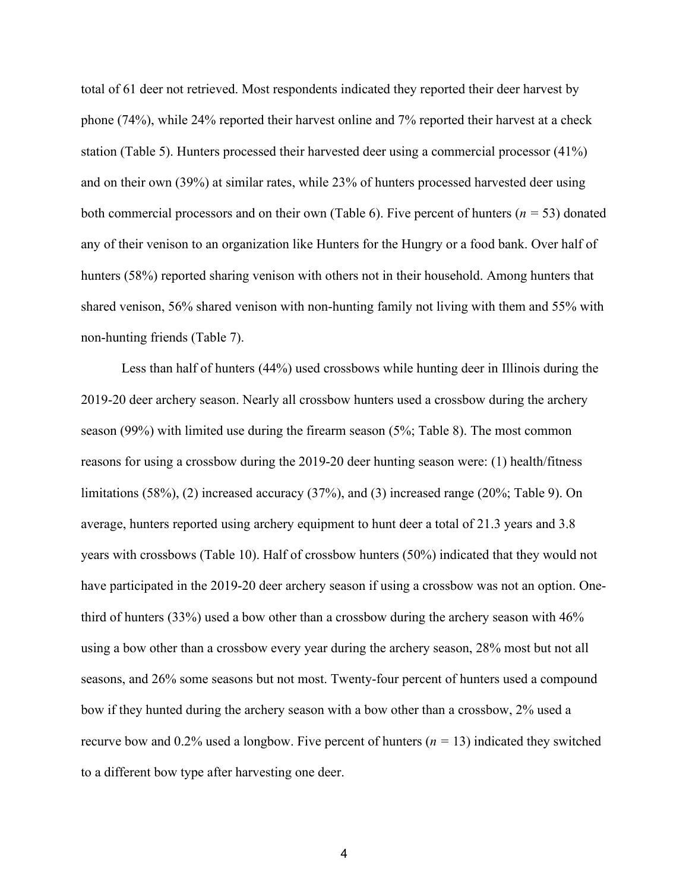total of 61 deer not retrieved. Most respondents indicated they reported their deer harvest by phone (74%), while 24% reported their harvest online and 7% reported their harvest at a check station [\(Table 5\)](#page-10-0). Hunters processed their harvested deer using a commercial processor (41%) and on their own (39%) at similar rates, while 23% of hunters processed harvested deer using both commercial processors and on their own [\(Table 6\)](#page-10-1). Five percent of hunters (*n =* 53) donated any of their venison to an organization like Hunters for the Hungry or a food bank. Over half of hunters (58%) reported sharing venison with others not in their household. Among hunters that shared venison, 56% shared venison with non-hunting family not living with them and 55% with non-hunting friends [\(Table 7\)](#page-10-2).

Less than half of hunters (44%) used crossbows while hunting deer in Illinois during the 2019-20 deer archery season. Nearly all crossbow hunters used a crossbow during the archery season (99%) with limited use during the firearm season (5%; [Table 8\)](#page-10-3). The most common reasons for using a crossbow during the 2019-20 deer hunting season were: (1) health/fitness limitations (58%), (2) increased accuracy (37%), and (3) increased range (20%; [Table 9\)](#page-11-0). On average, hunters reported using archery equipment to hunt deer a total of 21.3 years and 3.8 years with crossbows [\(Table 10\)](#page-11-1). Half of crossbow hunters (50%) indicated that they would not have participated in the 2019-20 deer archery season if using a crossbow was not an option. Onethird of hunters (33%) used a bow other than a crossbow during the archery season with 46% using a bow other than a crossbow every year during the archery season, 28% most but not all seasons, and 26% some seasons but not most. Twenty-four percent of hunters used a compound bow if they hunted during the archery season with a bow other than a crossbow, 2% used a recurve bow and 0.2% used a longbow. Five percent of hunters (*n =* 13) indicated they switched to a different bow type after harvesting one deer.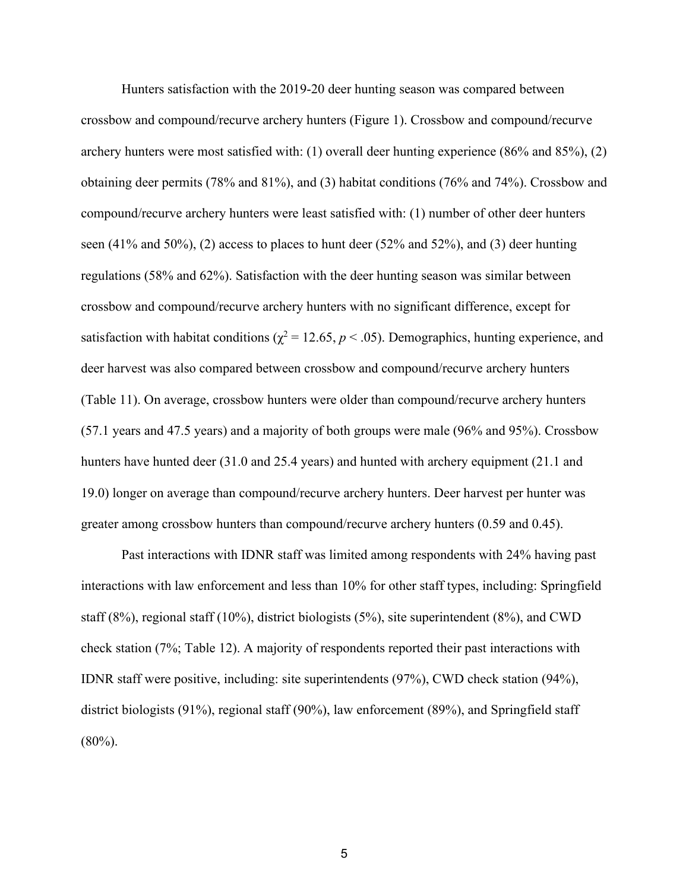Hunters satisfaction with the 2019-20 deer hunting season was compared between crossbow and compound/recurve archery hunters [\(Figure 1\)](#page-8-1). Crossbow and compound/recurve archery hunters were most satisfied with: (1) overall deer hunting experience (86% and 85%), (2) obtaining deer permits (78% and 81%), and (3) habitat conditions (76% and 74%). Crossbow and compound/recurve archery hunters were least satisfied with: (1) number of other deer hunters seen  $(41\%$  and  $50\%$ ), (2) access to places to hunt deer  $(52\%$  and  $52\%)$ , and (3) deer hunting regulations (58% and 62%). Satisfaction with the deer hunting season was similar between crossbow and compound/recurve archery hunters with no significant difference, except for satisfaction with habitat conditions ( $\chi^2$  = 12.65, *p* < .05). Demographics, hunting experience, and deer harvest was also compared between crossbow and compound/recurve archery hunters [\(Table 11\)](#page-11-2). On average, crossbow hunters were older than compound/recurve archery hunters (57.1 years and 47.5 years) and a majority of both groups were male (96% and 95%). Crossbow hunters have hunted deer (31.0 and 25.4 years) and hunted with archery equipment (21.1 and 19.0) longer on average than compound/recurve archery hunters. Deer harvest per hunter was greater among crossbow hunters than compound/recurve archery hunters (0.59 and 0.45).

Past interactions with IDNR staff was limited among respondents with 24% having past interactions with law enforcement and less than 10% for other staff types, including: Springfield staff (8%), regional staff (10%), district biologists (5%), site superintendent (8%), and CWD check station (7%; [Table 12\)](#page-12-0). A majority of respondents reported their past interactions with IDNR staff were positive, including: site superintendents (97%), CWD check station (94%), district biologists (91%), regional staff (90%), law enforcement (89%), and Springfield staff  $(80\%)$ .

5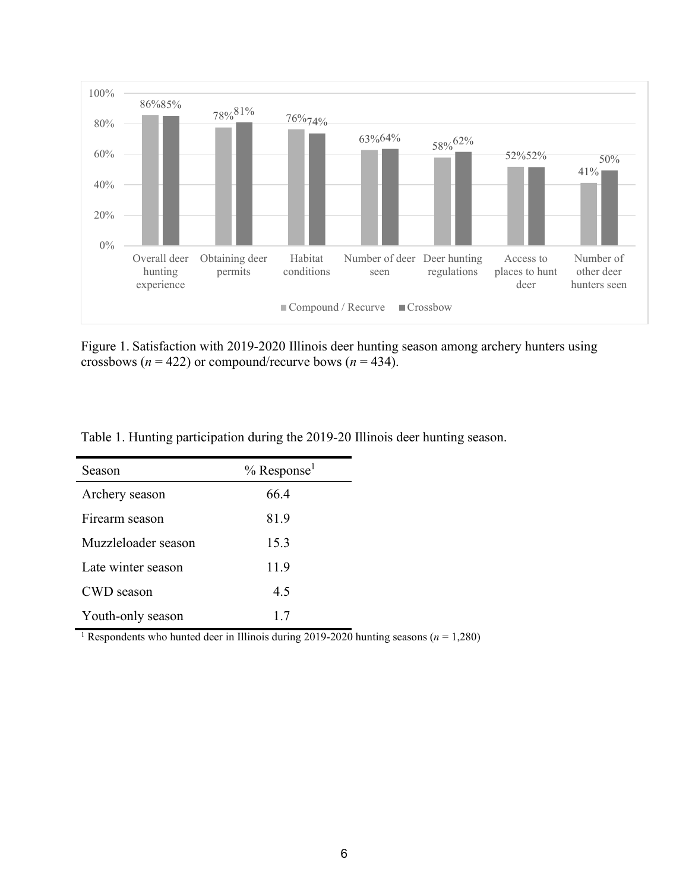

<span id="page-8-1"></span>Figure 1. Satisfaction with 2019-2020 Illinois deer hunting season among archery hunters using crossbows ( $n = 422$ ) or compound/recurve bows ( $n = 434$ ).

| Season              | $%$ Response <sup>1</sup> |  |
|---------------------|---------------------------|--|
| Archery season      | 66.4                      |  |
| Firearm season      | 81.9                      |  |
| Muzzleloader season | 15.3                      |  |
| Late winter season  | 11.9                      |  |
| CWD season          | 4.5                       |  |
| Youth-only season   | 1.7                       |  |

<span id="page-8-0"></span>Table 1. Hunting participation during the 2019-20 Illinois deer hunting season.

<sup>1</sup> Respondents who hunted deer in Illinois during 2019-2020 hunting seasons ( $n = 1,280$ )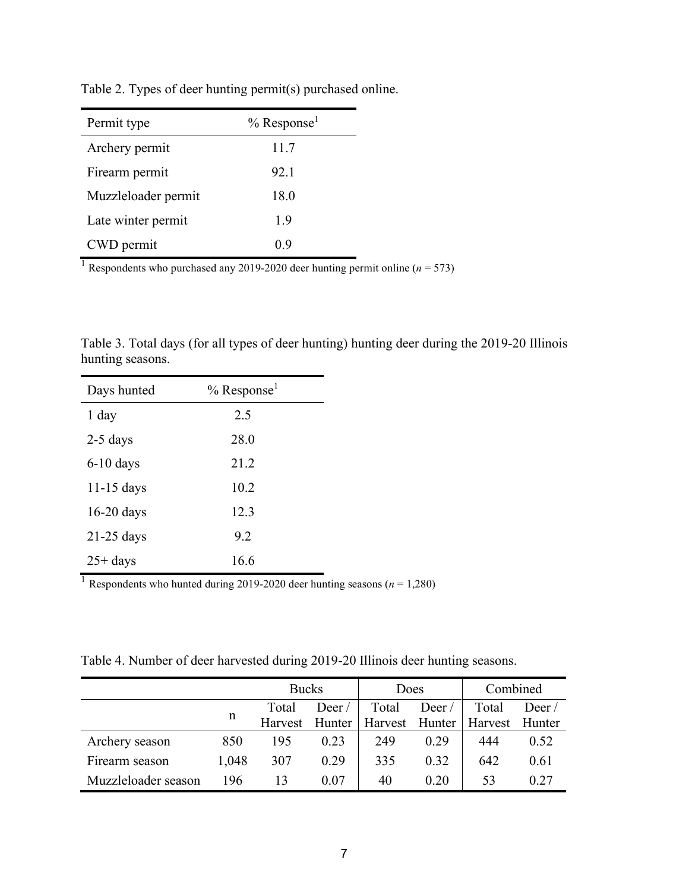| Permit type         | $%$ Response <sup>1</sup> |
|---------------------|---------------------------|
| Archery permit      | 11.7                      |
| Firearm permit      | 92.1                      |
| Muzzleloader permit | 18.0                      |
| Late winter permit  | 1.9                       |
| CWD permit          | 0.9                       |

<span id="page-9-0"></span>Table 2. Types of deer hunting permit(s) purchased online.

<sup>1</sup> Respondents who purchased any 2019-2020 deer hunting permit online ( $n = 573$ )

<span id="page-9-1"></span>Table 3. Total days (for all types of deer hunting) hunting deer during the 2019-20 Illinois hunting seasons.

| Days hunted  | $%$ Response <sup>1</sup> |  |
|--------------|---------------------------|--|
| 1 day        | 2.5                       |  |
| $2-5$ days   | 28.0                      |  |
| $6-10$ days  | 21.2                      |  |
| $11-15$ days | 10.2                      |  |
| $16-20$ days | 12.3                      |  |
| $21-25$ days | 9.2                       |  |
| $25 + days$  | 16.6                      |  |

<sup>1</sup> Respondents who hunted during 2019-2020 deer hunting seasons ( $n = 1,280$ )

<span id="page-9-2"></span>Table 4. Number of deer harvested during 2019-20 Illinois deer hunting seasons.

|                     |       | <b>Bucks</b>   |                  | Does  |                  | Combined                        |       |
|---------------------|-------|----------------|------------------|-------|------------------|---------------------------------|-------|
|                     |       | Total          | $\text{Deer } /$ | Total | $\text{Deer } /$ | Total                           | Deer/ |
|                     | n     | Harvest Hunter |                  |       |                  | Harvest Hunter   Harvest Hunter |       |
| Archery season      | 850   | 195            | 0.23             | 249   | 0.29             | 444                             | 0.52  |
| Firearm season      | 1,048 | 307            | 0.29             | 335   | 0.32             | 642                             | 0.61  |
| Muzzleloader season | 196   | 13             | 0.07             | 40    | 0.20             | 53                              | 0.27  |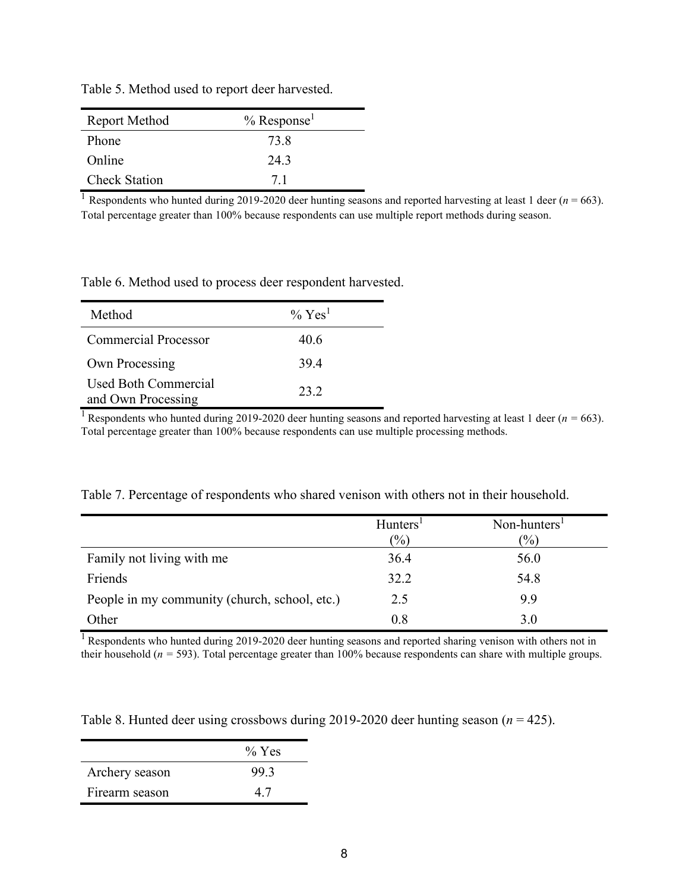| Report Method        | $%$ Response <sup>1</sup> |
|----------------------|---------------------------|
| Phone                | 73.8                      |
| Online               | 24.3                      |
| <b>Check Station</b> | 71                        |

<span id="page-10-0"></span>Table 5. Method used to report deer harvested.

<sup>1</sup> Respondents who hunted during 2019-2020 deer hunting seasons and reported harvesting at least 1 deer ( $n = 663$ ). Total percentage greater than 100% because respondents can use multiple report methods during season.

<span id="page-10-1"></span>Table 6. Method used to process deer respondent harvested.

| Method                                     | $\%$ Yes <sup>1</sup> |
|--------------------------------------------|-----------------------|
| Commercial Processor                       | 40.6                  |
| Own Processing                             | 39.4                  |
| Used Both Commercial<br>and Own Processing | 23.2                  |

<sup>1</sup> Respondents who hunted during 2019-2020 deer hunting seasons and reported harvesting at least 1 deer ( $n = 663$ ). Total percentage greater than 100% because respondents can use multiple processing methods.

|                                               | Hunters <sup>1</sup><br>$\frac{(0)}{0}$ | Non-hunters <sup>1</sup><br>$\frac{(0)}{0}$ |
|-----------------------------------------------|-----------------------------------------|---------------------------------------------|
| Family not living with me                     | 36.4                                    | 56.0                                        |
| Friends                                       | 32.2                                    | 54.8                                        |
| People in my community (church, school, etc.) | 2.5                                     | 9.9                                         |
| Other                                         | 0.8                                     | 3.0                                         |

<span id="page-10-2"></span>Table 7. Percentage of respondents who shared venison with others not in their household.

 $1$  Respondents who hunted during 2019-2020 deer hunting seasons and reported sharing venison with others not in their household (*n =* 593). Total percentage greater than 100% because respondents can share with multiple groups.

<span id="page-10-3"></span>Table 8. Hunted deer using crossbows during 2019-2020 deer hunting season (*n* = 425).

|                | $\%$ Yes |
|----------------|----------|
| Archery season | 99.3     |
| Firearm season | 47       |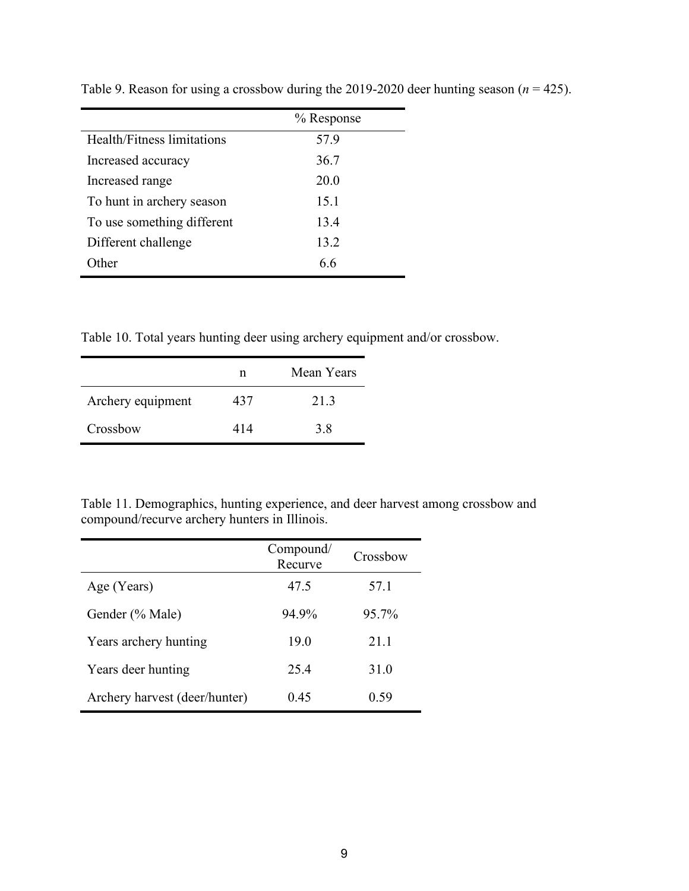|                            | % Response |
|----------------------------|------------|
| Health/Fitness limitations | 57.9       |
| Increased accuracy         | 36.7       |
| Increased range            | 20.0       |
| To hunt in archery season  | 15.1       |
| To use something different | 13.4       |
| Different challenge        | 13.2       |
| ither                      | 66         |

<span id="page-11-0"></span>Table 9. Reason for using a crossbow during the 2019-2020 deer hunting season  $(n = 425)$ .

<span id="page-11-1"></span>Table 10. Total years hunting deer using archery equipment and/or crossbow.

|                   | n   | Mean Years |
|-------------------|-----|------------|
| Archery equipment | 437 | 21.3       |
| Crossbow          | 414 | 3.8        |

<span id="page-11-2"></span>Table 11. Demographics, hunting experience, and deer harvest among crossbow and compound/recurve archery hunters in Illinois.

|                               | Compound/<br>Recurve | Crossbow |
|-------------------------------|----------------------|----------|
| Age (Years)                   | 47.5                 | 57.1     |
| Gender (% Male)               | 94.9%                | 95.7%    |
| Years archery hunting         | 19.0                 | 21.1     |
| Years deer hunting            | 25.4                 | 31.0     |
| Archery harvest (deer/hunter) | 0.45                 | 0.59     |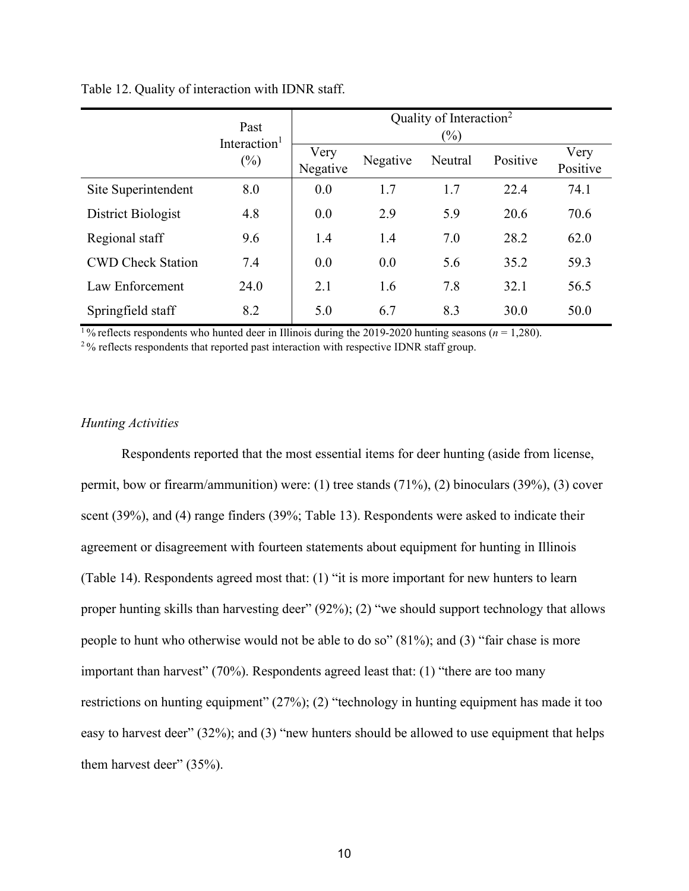|                          | Past                               | Quality of Interaction <sup>2</sup><br>$(\%)$ |          |         |          |                  |  |
|--------------------------|------------------------------------|-----------------------------------------------|----------|---------|----------|------------------|--|
|                          | Interaction <sup>1</sup><br>$(\%)$ | Very<br>Negative                              | Negative | Neutral | Positive | Very<br>Positive |  |
| Site Superintendent      | 8.0                                | 0.0                                           | 1.7      | 1.7     | 22.4     | 74.1             |  |
| District Biologist       | 4.8                                | 0.0                                           | 2.9      | 5.9     | 20.6     | 70.6             |  |
| Regional staff           | 9.6                                | 1.4                                           | 1.4      | 7.0     | 28.2     | 62.0             |  |
| <b>CWD Check Station</b> | 7.4                                | 0.0                                           | 0.0      | 5.6     | 35.2     | 59.3             |  |
| Law Enforcement          | 24.0                               | 2.1                                           | 1.6      | 7.8     | 32.1     | 56.5             |  |
| Springfield staff        | 8.2                                | 5.0                                           | 6.7      | 8.3     | 30.0     | 50.0             |  |

#### <span id="page-12-0"></span>Table 12. Quality of interaction with IDNR staff.

<sup>1</sup>% reflects respondents who hunted deer in Illinois during the 2019-2020 hunting seasons ( $n = 1,280$ ).

<sup>2</sup>% reflects respondents that reported past interaction with respective IDNR staff group.

#### *Hunting Activities*

Respondents reported that the most essential items for deer hunting (aside from license, permit, bow or firearm/ammunition) were: (1) tree stands (71%), (2) binoculars (39%), (3) cover scent (39%), and (4) range finders (39%; [Table 13\)](#page-13-0). Respondents were asked to indicate their agreement or disagreement with fourteen statements about equipment for hunting in Illinois [\(Table 14\)](#page-14-0). Respondents agreed most that: (1) "it is more important for new hunters to learn proper hunting skills than harvesting deer" (92%); (2) "we should support technology that allows people to hunt who otherwise would not be able to do so" (81%); and (3) "fair chase is more important than harvest" (70%). Respondents agreed least that: (1) "there are too many restrictions on hunting equipment" (27%); (2) "technology in hunting equipment has made it too easy to harvest deer" (32%); and (3) "new hunters should be allowed to use equipment that helps them harvest deer" (35%).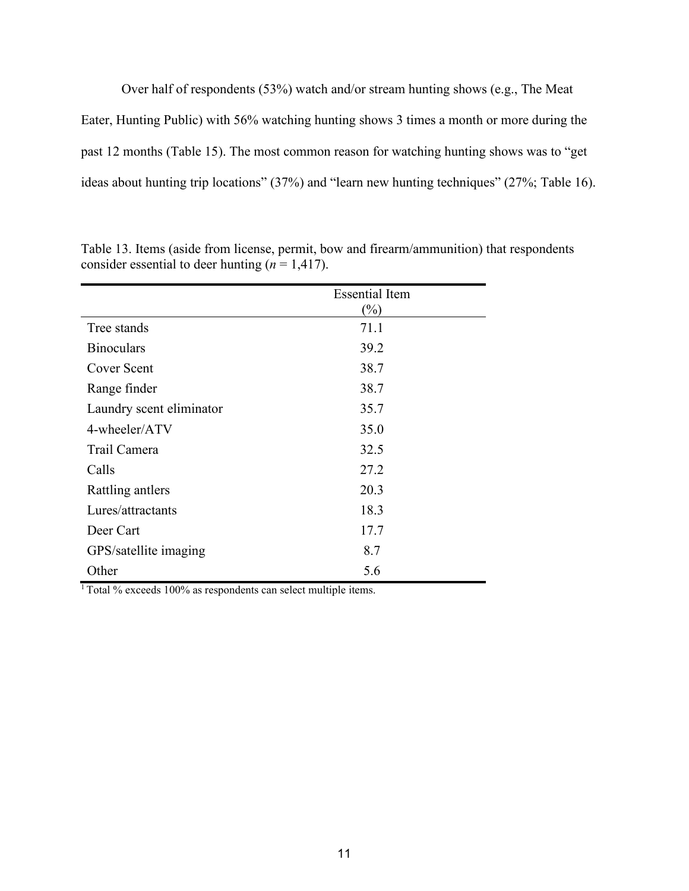Over half of respondents (53%) watch and/or stream hunting shows (e.g., The Meat Eater, Hunting Public) with 56% watching hunting shows 3 times a month or more during the past 12 months [\(Table 15\)](#page-15-0). The most common reason for watching hunting shows was to "get ideas about hunting trip locations" (37%) and "learn new hunting techniques" (27%; [Table 16\)](#page-15-1).

|                          | <b>Essential Item</b> |
|--------------------------|-----------------------|
|                          | $(\%)$                |
| Tree stands              | 71.1                  |
| <b>Binoculars</b>        | 39.2                  |
| <b>Cover Scent</b>       | 38.7                  |
| Range finder             | 38.7                  |
| Laundry scent eliminator | 35.7                  |
| 4-wheeler/ATV            | 35.0                  |
| Trail Camera             | 32.5                  |
| Calls                    | 27.2                  |
| Rattling antlers         | 20.3                  |
| Lures/attractants        | 18.3                  |
| Deer Cart                | 17.7                  |
| GPS/satellite imaging    | 8.7                   |
| Other                    | 5.6                   |

<span id="page-13-0"></span>Table 13. Items (aside from license, permit, bow and firearm/ammunition) that respondents consider essential to deer hunting  $(n = 1, 417)$ .

<sup>1</sup> Total % exceeds 100% as respondents can select multiple items.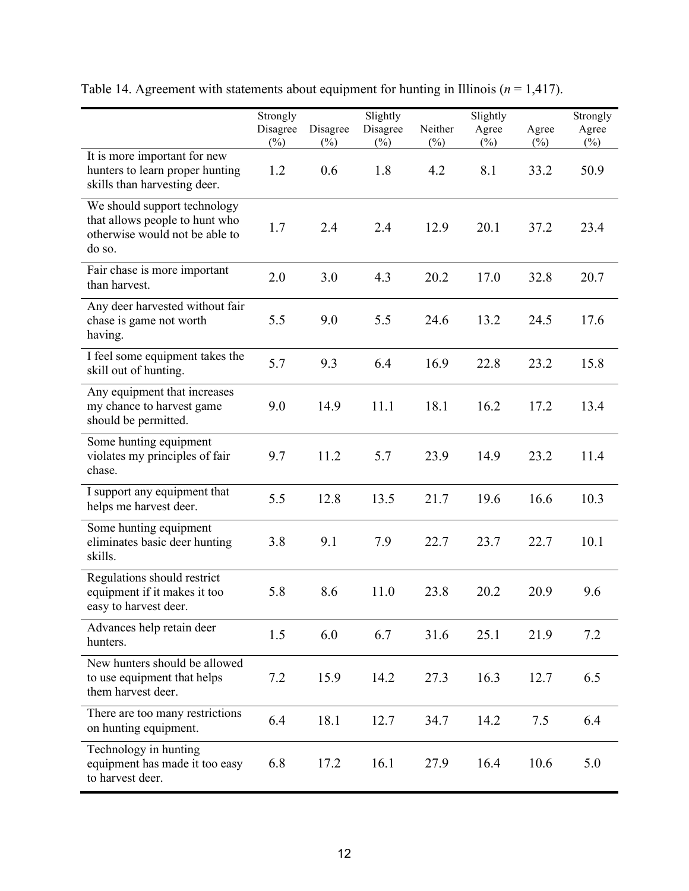|                                                                                                            | Strongly |          | Slightly |         | Slightly |        | Strongly |
|------------------------------------------------------------------------------------------------------------|----------|----------|----------|---------|----------|--------|----------|
|                                                                                                            | Disagree | Disagree | Disagree | Neither | Agree    | Agree  | Agree    |
| It is more important for new                                                                               | $(\%)$   | $(\%)$   | $(\%)$   | $(\%)$  | $(\%)$   | $(\%)$ | $(\%)$   |
| hunters to learn proper hunting<br>skills than harvesting deer.                                            | 1.2      | 0.6      | 1.8      | 4.2     | 8.1      | 33.2   | 50.9     |
| We should support technology<br>that allows people to hunt who<br>otherwise would not be able to<br>do so. | 1.7      | 2.4      | 2.4      | 12.9    | 20.1     | 37.2   | 23.4     |
| Fair chase is more important<br>than harvest.                                                              | 2.0      | 3.0      | 4.3      | 20.2    | 17.0     | 32.8   | 20.7     |
| Any deer harvested without fair<br>chase is game not worth<br>having.                                      | 5.5      | 9.0      | 5.5      | 24.6    | 13.2     | 24.5   | 17.6     |
| I feel some equipment takes the<br>skill out of hunting.                                                   | 5.7      | 9.3      | 6.4      | 16.9    | 22.8     | 23.2   | 15.8     |
| Any equipment that increases<br>my chance to harvest game<br>should be permitted.                          | 9.0      | 14.9     | 11.1     | 18.1    | 16.2     | 17.2   | 13.4     |
| Some hunting equipment<br>violates my principles of fair<br>chase.                                         | 9.7      | 11.2     | 5.7      | 23.9    | 14.9     | 23.2   | 11.4     |
| I support any equipment that<br>helps me harvest deer.                                                     | 5.5      | 12.8     | 13.5     | 21.7    | 19.6     | 16.6   | 10.3     |
| Some hunting equipment<br>eliminates basic deer hunting<br>skills.                                         | 3.8      | 9.1      | 7.9      | 22.7    | 23.7     | 22.7   | 10.1     |
| Regulations should restrict<br>equipment if it makes it too<br>easy to harvest deer.                       | 5.8      | 8.6      | 11.0     | 23.8    | 20.2     | 20.9   | 9.6      |
| Advances help retain deer<br>hunters.                                                                      | 1.5      | 6.0      | 6.7      | 31.6    | 25.1     | 21.9   | 7.2      |
| New hunters should be allowed<br>to use equipment that helps<br>them harvest deer.                         | 7.2      | 15.9     | 14.2     | 27.3    | 16.3     | 12.7   | 6.5      |
| There are too many restrictions<br>on hunting equipment.                                                   | 6.4      | 18.1     | 12.7     | 34.7    | 14.2     | 7.5    | 6.4      |
| Technology in hunting<br>equipment has made it too easy<br>to harvest deer.                                | 6.8      | 17.2     | 16.1     | 27.9    | 16.4     | 10.6   | 5.0      |

<span id="page-14-0"></span>Table 14. Agreement with statements about equipment for hunting in Illinois ( $n = 1,417$ ).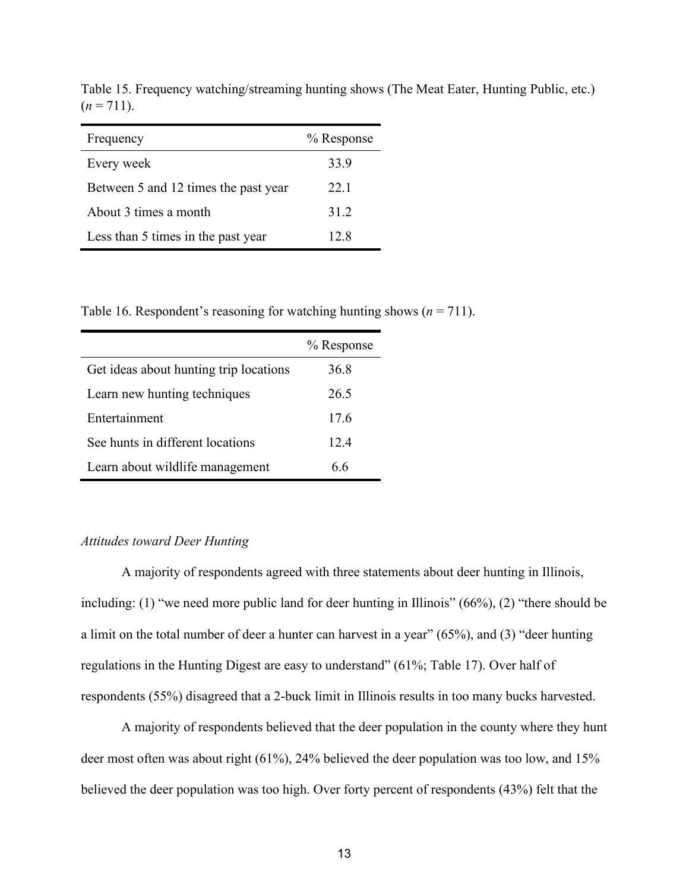| Frequency                            | % Response |
|--------------------------------------|------------|
| Every week                           | 33.9       |
| Between 5 and 12 times the past year | 22.1       |
| About 3 times a month                | 31.2       |
| Less than 5 times in the past year   | 12.8       |

<span id="page-15-0"></span>Table 15. Frequency watching/streaming hunting shows (The Meat Eater, Hunting Public, etc.)  $(n = 711)$ .

<span id="page-15-1"></span>Table 16. Respondent's reasoning for watching hunting shows  $(n = 711)$ .

|                                        | % Response |
|----------------------------------------|------------|
| Get ideas about hunting trip locations | 36.8       |
| Learn new hunting techniques           | 26.5       |
| Entertainment                          | 17.6       |
| See hunts in different locations       | 12.4       |
| Learn about wildlife management        | 66         |

#### *Attitudes toward Deer Hunting*

A majority of respondents agreed with three statements about deer hunting in Illinois, including: (1) "we need more public land for deer hunting in Illinois" (66%), (2) "there should be a limit on the total number of deer a hunter can harvest in a year" (65%), and (3) "deer hunting regulations in the Hunting Digest are easy to understand" (61%; [Table 17\)](#page-17-0). Over half of respondents (55%) disagreed that a 2-buck limit in Illinois results in too many bucks harvested.

A majority of respondents believed that the deer population in the county where they hunt deer most often was about right (61%), 24% believed the deer population was too low, and 15% believed the deer population was too high. Over forty percent of respondents (43%) felt that the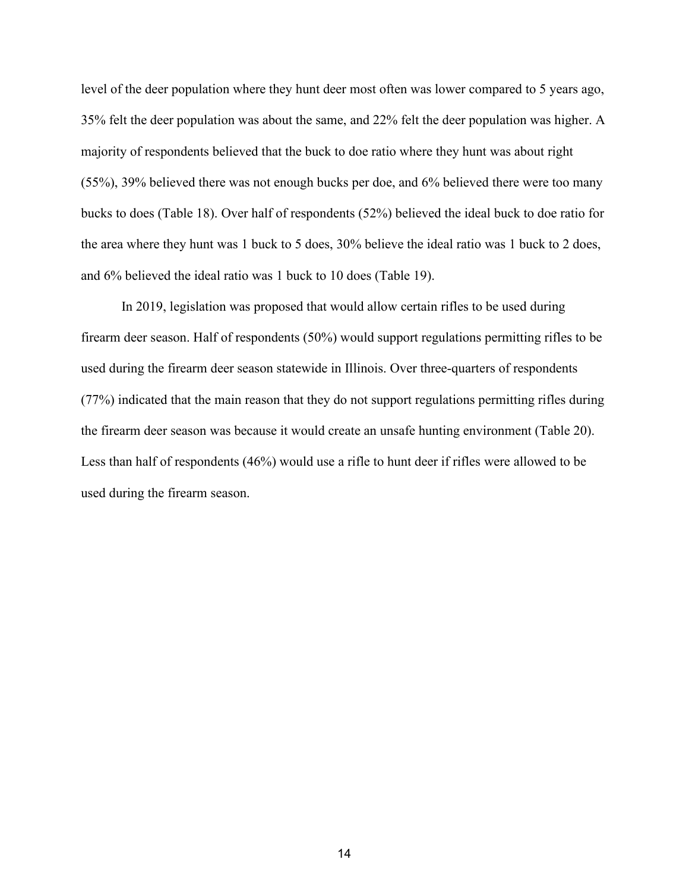level of the deer population where they hunt deer most often was lower compared to 5 years ago, 35% felt the deer population was about the same, and 22% felt the deer population was higher. A majority of respondents believed that the buck to doe ratio where they hunt was about right (55%), 39% believed there was not enough bucks per doe, and 6% believed there were too many bucks to does [\(Table 18\)](#page-17-1). Over half of respondents (52%) believed the ideal buck to doe ratio for the area where they hunt was 1 buck to 5 does, 30% believe the ideal ratio was 1 buck to 2 does, and 6% believed the ideal ratio was 1 buck to 10 does [\(Table 19\)](#page-18-0).

In 2019, legislation was proposed that would allow certain rifles to be used during firearm deer season. Half of respondents (50%) would support regulations permitting rifles to be used during the firearm deer season statewide in Illinois. Over three-quarters of respondents (77%) indicated that the main reason that they do not support regulations permitting rifles during the firearm deer season was because it would create an unsafe hunting environment [\(Table 20\)](#page-18-1). Less than half of respondents (46%) would use a rifle to hunt deer if rifles were allowed to be used during the firearm season.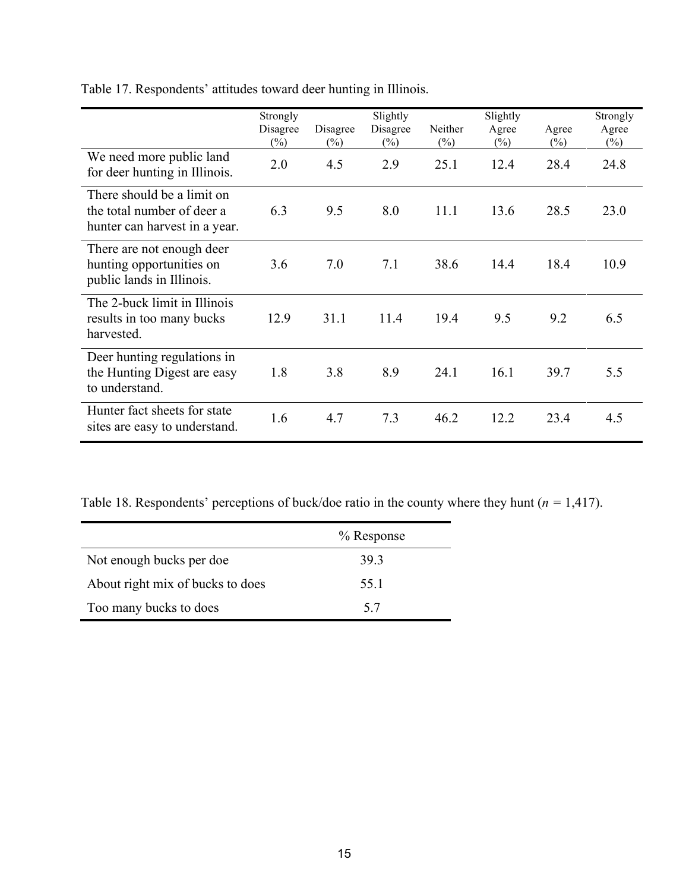|                                                                                           | Strongly<br>Disagree | Disagree | Slightly<br>Disagree | Neither | Slightly<br>Agree | Agree  | Strongly<br>Agree |
|-------------------------------------------------------------------------------------------|----------------------|----------|----------------------|---------|-------------------|--------|-------------------|
|                                                                                           | $(\%)$               | $(\%)$   | $(\%)$               | $(\%)$  | $(\%)$            | $(\%)$ | $(\%)$            |
| We need more public land<br>for deer hunting in Illinois.                                 | 2.0                  | 4.5      | 2.9                  | 25.1    | 12.4              | 28.4   | 24.8              |
| There should be a limit on<br>the total number of deer a<br>hunter can harvest in a year. | 6.3                  | 9.5      | 8.0                  | 11.1    | 13.6              | 28.5   | 23.0              |
| There are not enough deer<br>hunting opportunities on<br>public lands in Illinois.        | 3.6                  | 7.0      | 7.1                  | 38.6    | 14.4              | 18.4   | 10.9              |
| The 2-buck limit in Illinois<br>results in too many bucks<br>harvested.                   | 12.9                 | 31.1     | 11.4                 | 19.4    | 9.5               | 9.2    | 6.5               |
| Deer hunting regulations in<br>the Hunting Digest are easy<br>to understand.              | 1.8                  | 3.8      | 8.9                  | 24.1    | 16.1              | 39.7   | 5.5               |
| Hunter fact sheets for state<br>sites are easy to understand.                             | 1.6                  | 4.7      | 7.3                  | 46.2    | 12.2              | 23.4   | 4.5               |

<span id="page-17-0"></span>Table 17. Respondents' attitudes toward deer hunting in Illinois.

<span id="page-17-1"></span>Table 18. Respondents' perceptions of buck/doe ratio in the county where they hunt (*n =* 1,417).

|                                  | % Response |
|----------------------------------|------------|
| Not enough bucks per doe         | 39.3       |
| About right mix of bucks to does | 55.1       |
| Too many bucks to does           | 5.7        |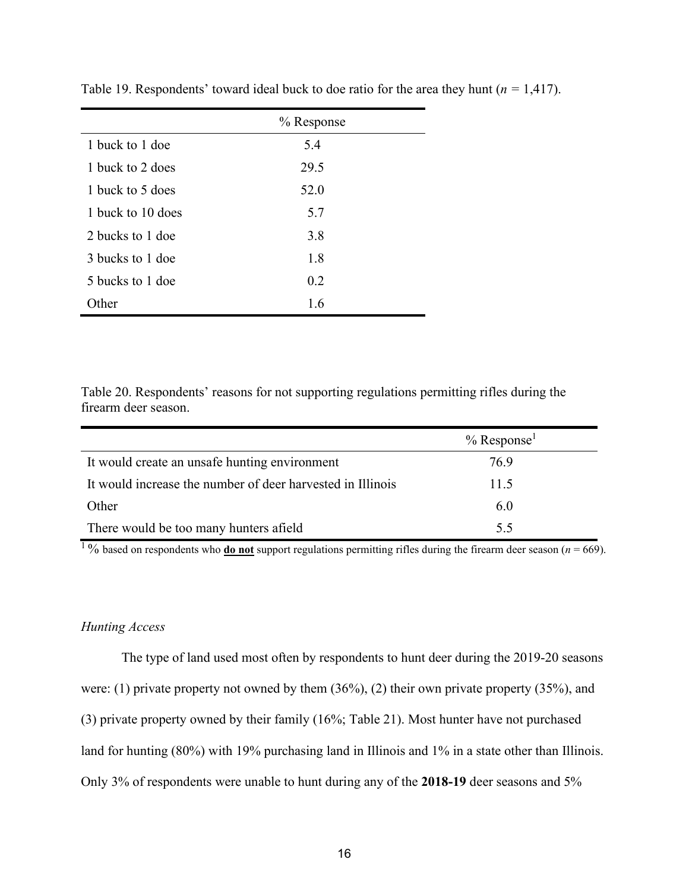|                   | % Response |
|-------------------|------------|
| 1 buck to 1 doe   | 5.4        |
| 1 buck to 2 does  | 29.5       |
| 1 buck to 5 does  | 52.0       |
| 1 buck to 10 does | 5.7        |
| 2 bucks to 1 doe  | 3.8        |
| 3 bucks to 1 doe  | 1.8        |
| 5 bucks to 1 doe  | 0.2        |
| Other             | 1.6        |

<span id="page-18-0"></span>Table 19. Respondents' toward ideal buck to doe ratio for the area they hunt (*n =* 1,417).

<span id="page-18-1"></span>Table 20. Respondents' reasons for not supporting regulations permitting rifles during the firearm deer season.

|                                                            | $%$ Response <sup>1</sup> |
|------------------------------------------------------------|---------------------------|
| It would create an unsafe hunting environment              | 76.9                      |
| It would increase the number of deer harvested in Illinois | 11.5                      |
| Other                                                      | 6.0                       |
| There would be too many hunters afield                     | 5.5                       |

<sup>1</sup>% based on respondents who **<u>do not</u>** support regulations permitting rifles during the firearm deer season ( $n = 669$ ).

#### *Hunting Access*

The type of land used most often by respondents to hunt deer during the 2019-20 seasons were: (1) private property not owned by them  $(36\%)$ , (2) their own private property (35%), and (3) private property owned by their family (16%; [Table 21\)](#page-20-0). Most hunter have not purchased land for hunting (80%) with 19% purchasing land in Illinois and 1% in a state other than Illinois. Only 3% of respondents were unable to hunt during any of the **2018-19** deer seasons and 5%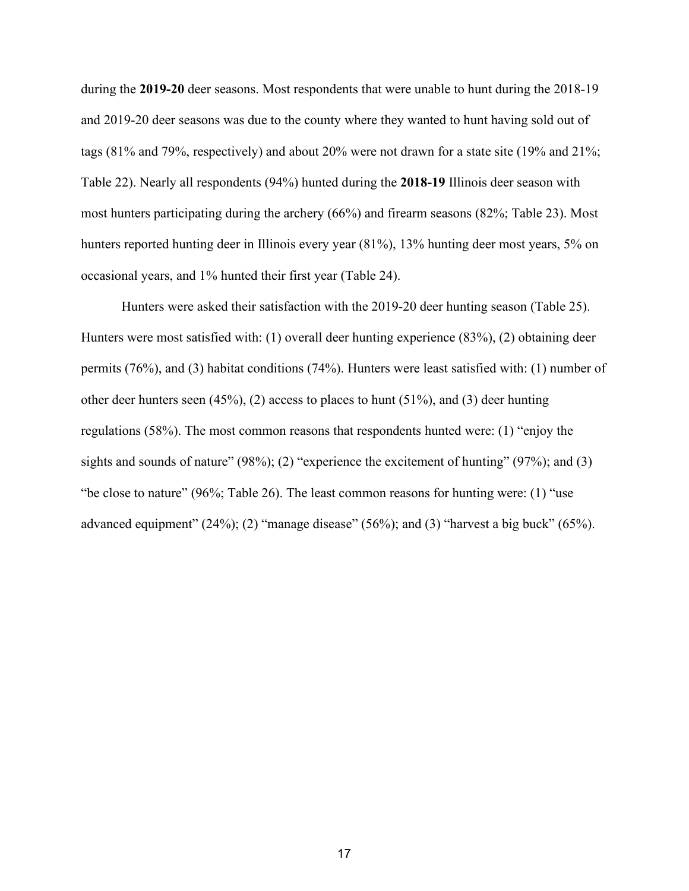during the **2019-20** deer seasons. Most respondents that were unable to hunt during the 2018-19 and 2019-20 deer seasons was due to the county where they wanted to hunt having sold out of tags (81% and 79%, respectively) and about 20% were not drawn for a state site (19% and 21%; [Table 22\)](#page-20-1). Nearly all respondents (94%) hunted during the **2018-19** Illinois deer season with most hunters participating during the archery (66%) and firearm seasons (82%; [Table 23\)](#page-20-2). Most hunters reported hunting deer in Illinois every year (81%), 13% hunting deer most years, 5% on occasional years, and 1% hunted their first year [\(Table 24\)](#page-21-0).

Hunters were asked their satisfaction with the 2019-20 deer hunting season [\(Table 25\)](#page-21-1). Hunters were most satisfied with: (1) overall deer hunting experience (83%), (2) obtaining deer permits (76%), and (3) habitat conditions (74%). Hunters were least satisfied with: (1) number of other deer hunters seen  $(45\%)$ ,  $(2)$  access to places to hunt  $(51\%)$ , and  $(3)$  deer hunting regulations (58%). The most common reasons that respondents hunted were: (1) "enjoy the sights and sounds of nature" (98%); (2) "experience the excitement of hunting" (97%); and (3) "be close to nature" (96%; [Table 26\)](#page-22-0). The least common reasons for hunting were: (1) "use advanced equipment" (24%); (2) "manage disease" (56%); and (3) "harvest a big buck" (65%).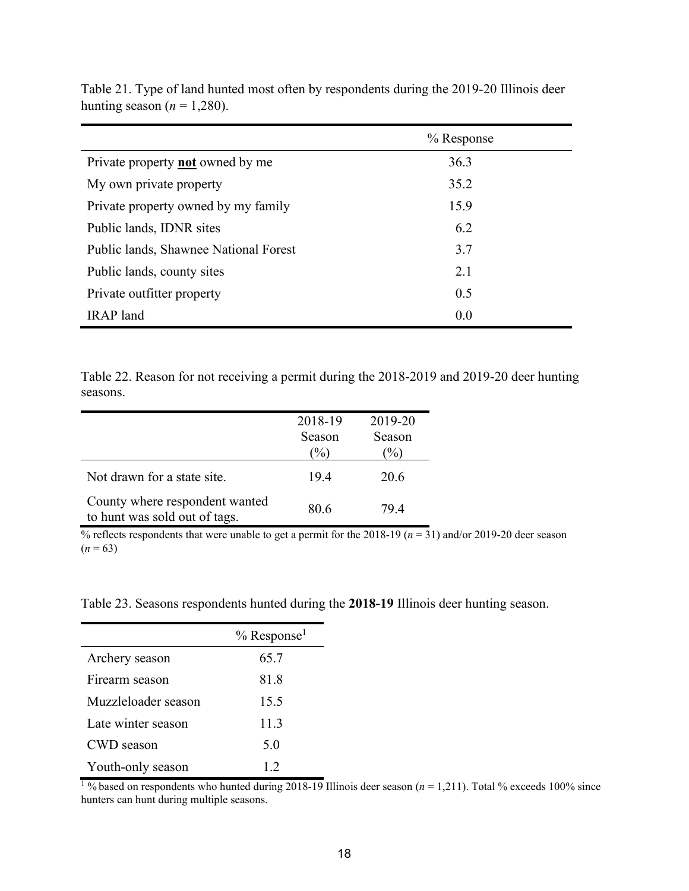|                                         | $%$ Response |
|-----------------------------------------|--------------|
| Private property <b>not</b> owned by me | 36.3         |
| My own private property                 | 35.2         |
| Private property owned by my family     | 15.9         |
| Public lands, IDNR sites                | 6.2          |
| Public lands, Shawnee National Forest   | 3.7          |
| Public lands, county sites              | 2.1          |
| Private outfitter property              | 0.5          |
| <b>IRAP</b> land                        | 0.0          |

<span id="page-20-0"></span>Table 21. Type of land hunted most often by respondents during the 2019-20 Illinois deer hunting season  $(n = 1,280)$ .

<span id="page-20-1"></span>Table 22. Reason for not receiving a permit during the 2018-2019 and 2019-20 deer hunting seasons.

|                                                                 | 2018-19<br>Season<br>$\%$ | 2019-20<br>Season<br>$\%$ |
|-----------------------------------------------------------------|---------------------------|---------------------------|
| Not drawn for a state site.                                     | 19.4                      | 20.6                      |
| County where respondent wanted<br>to hunt was sold out of tags. | 80.6                      | 79.4                      |

% reflects respondents that were unable to get a permit for the 2018-19 ( $n = 31$ ) and/or 2019-20 deer season  $(n = 63)$ 

<span id="page-20-2"></span>Table 23. Seasons respondents hunted during the **2018-19** Illinois deer hunting season.

|                     | $%$ Response <sup>1</sup> |
|---------------------|---------------------------|
| Archery season      | 65.7                      |
| Firearm season      | 81.8                      |
| Muzzleloader season | 15.5                      |
| Late winter season  | 11.3                      |
| CWD season          | 5.0                       |
| Youth-only season   | 1.2                       |

<sup>1</sup>% based on respondents who hunted during 2018-19 Illinois deer season ( $n = 1,211$ ). Total % exceeds 100% since hunters can hunt during multiple seasons.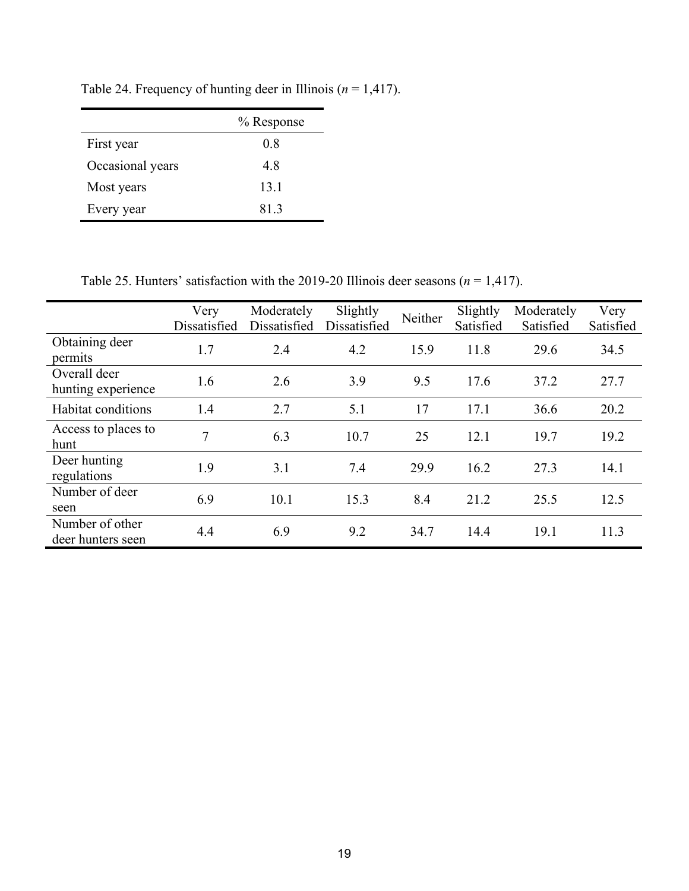<span id="page-21-0"></span>Table 24. Frequency of hunting deer in Illinois ( $n = 1,417$ ).

|                  | % Response |
|------------------|------------|
| First year       | 0.8        |
| Occasional years | 4.8        |
| Most years       | 13.1       |
| Every year       | 81.3       |

<span id="page-21-1"></span>Table 25. Hunters' satisfaction with the 2019-20 Illinois deer seasons (*n* = 1,417).

|                                      | Very<br>Dissatisfied | Moderately<br>Dissatisfied | Slightly<br>Dissatisfied | Neither | Slightly<br>Satisfied | Moderately<br>Satisfied | Very<br>Satisfied |
|--------------------------------------|----------------------|----------------------------|--------------------------|---------|-----------------------|-------------------------|-------------------|
| Obtaining deer<br>permits            | 1.7                  | 2.4                        | 4.2                      | 15.9    | 11.8                  | 29.6                    | 34.5              |
| Overall deer<br>hunting experience   | 1.6                  | 2.6                        | 3.9                      | 9.5     | 17.6                  | 37.2                    | 27.7              |
| Habitat conditions                   | 1.4                  | 2.7                        | 5.1                      | 17      | 17.1                  | 36.6                    | 20.2              |
| Access to places to<br>hunt          | 7                    | 6.3                        | 10.7                     | 25      | 12.1                  | 19.7                    | 19.2              |
| Deer hunting<br>regulations          | 1.9                  | 3.1                        | 7.4                      | 29.9    | 16.2                  | 27.3                    | 14.1              |
| Number of deer<br>seen               | 6.9                  | 10.1                       | 15.3                     | 8.4     | 21.2                  | 25.5                    | 12.5              |
| Number of other<br>deer hunters seen | 4.4                  | 6.9                        | 9.2                      | 34.7    | 14.4                  | 19.1                    | 11.3              |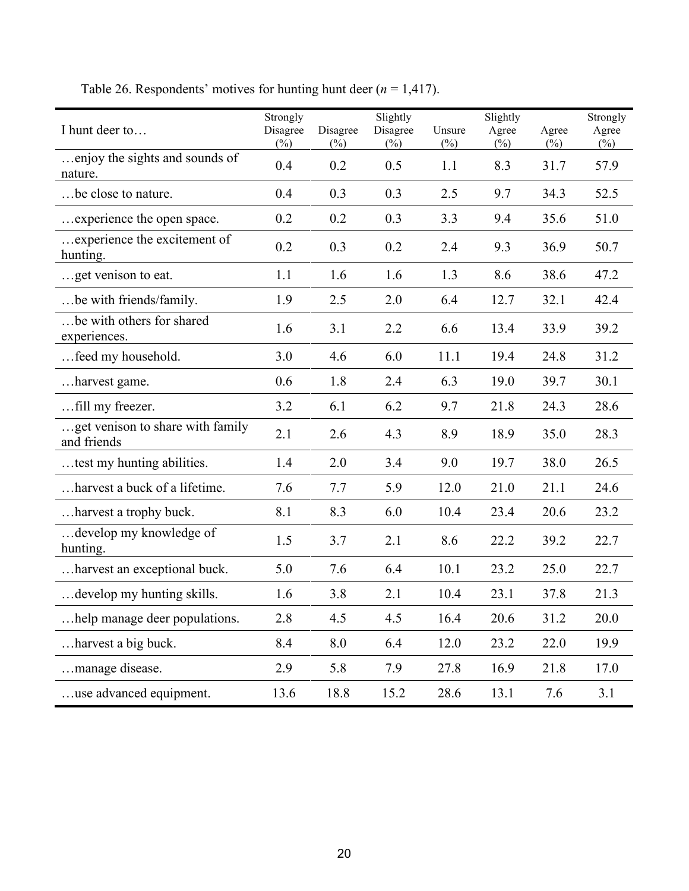<span id="page-22-0"></span>

| I hunt deer to                                  | Strongly<br>Disagree<br>$(\%)$ | Disagree<br>$(\%)$ | Slightly<br>Disagree<br>$(\%)$ | Unsure<br>$(\%)$ | Slightly<br>Agree<br>$(\%)$ | Agree<br>$(\%)$ | Strongly<br>Agree<br>$(\%)$ |
|-------------------------------------------------|--------------------------------|--------------------|--------------------------------|------------------|-----------------------------|-----------------|-----------------------------|
| enjoy the sights and sounds of<br>nature.       | 0.4                            | 0.2                | 0.5                            | 1.1              | 8.3                         | 31.7            | 57.9                        |
| be close to nature.                             | 0.4                            | 0.3                | 0.3                            | 2.5              | 9.7                         | 34.3            | 52.5                        |
| experience the open space.                      | 0.2                            | 0.2                | 0.3                            | 3.3              | 9.4                         | 35.6            | 51.0                        |
| experience the excitement of<br>hunting.        | 0.2                            | 0.3                | 0.2                            | 2.4              | 9.3                         | 36.9            | 50.7                        |
| get venison to eat.                             | 1.1                            | 1.6                | 1.6                            | 1.3              | 8.6                         | 38.6            | 47.2                        |
| be with friends/family.                         | 1.9                            | 2.5                | 2.0                            | 6.4              | 12.7                        | 32.1            | 42.4                        |
| be with others for shared<br>experiences.       | 1.6                            | 3.1                | 2.2                            | 6.6              | 13.4                        | 33.9            | 39.2                        |
| feed my household.                              | 3.0                            | 4.6                | 6.0                            | 11.1             | 19.4                        | 24.8            | 31.2                        |
| harvest game.                                   | 0.6                            | 1.8                | 2.4                            | 6.3              | 19.0                        | 39.7            | 30.1                        |
| fill my freezer.                                | 3.2                            | 6.1                | 6.2                            | 9.7              | 21.8                        | 24.3            | 28.6                        |
| get venison to share with family<br>and friends | 2.1                            | 2.6                | 4.3                            | 8.9              | 18.9                        | 35.0            | 28.3                        |
| test my hunting abilities.                      | 1.4                            | 2.0                | 3.4                            | 9.0              | 19.7                        | 38.0            | 26.5                        |
| harvest a buck of a lifetime.                   | 7.6                            | 7.7                | 5.9                            | 12.0             | 21.0                        | 21.1            | 24.6                        |
| harvest a trophy buck.                          | 8.1                            | 8.3                | 6.0                            | 10.4             | 23.4                        | 20.6            | 23.2                        |
| develop my knowledge of<br>hunting.             | 1.5                            | 3.7                | 2.1                            | 8.6              | 22.2                        | 39.2            | 22.7                        |
| harvest an exceptional buck.                    | 5.0                            | 7.6                | 6.4                            | 10.1             | 23.2                        | 25.0            | 22.7                        |
| develop my hunting skills.                      | 1.6                            | 3.8                | 2.1                            | 10.4             | 23.1                        | 37.8            | 21.3                        |
| help manage deer populations.                   | 2.8                            | 4.5                | 4.5                            | 16.4             | 20.6                        | 31.2            | 20.0                        |
| harvest a big buck.                             | 8.4                            | 8.0                | 6.4                            | 12.0             | 23.2                        | 22.0            | 19.9                        |
| manage disease.                                 | 2.9                            | 5.8                | 7.9                            | 27.8             | 16.9                        | 21.8            | 17.0                        |
| use advanced equipment.                         | 13.6                           | 18.8               | 15.2                           | 28.6             | 13.1                        | 7.6             | 3.1                         |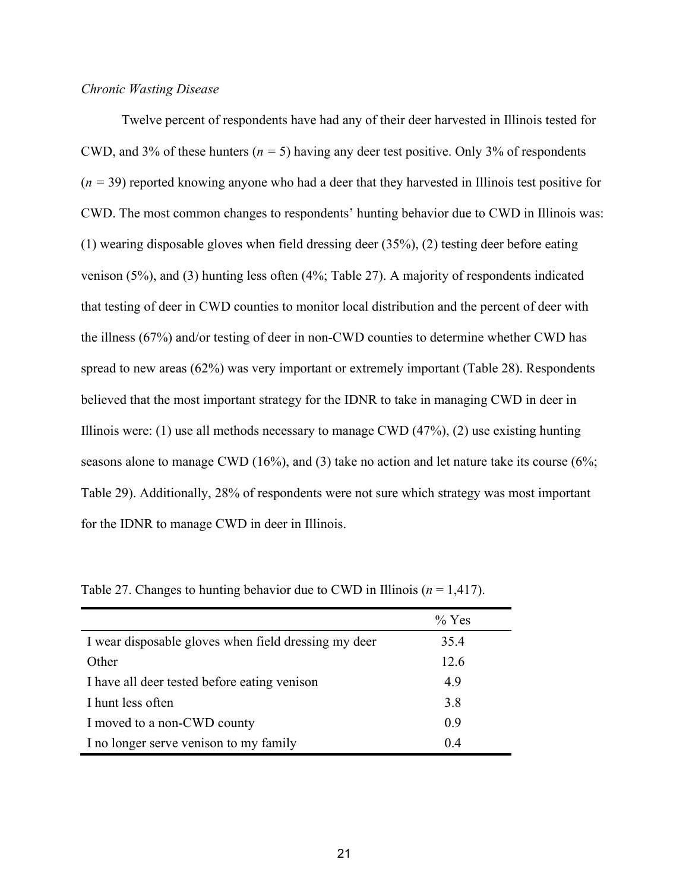#### *Chronic Wasting Disease*

Twelve percent of respondents have had any of their deer harvested in Illinois tested for CWD, and 3% of these hunters (*n =* 5) having any deer test positive. Only 3% of respondents (*n =* 39) reported knowing anyone who had a deer that they harvested in Illinois test positive for CWD. The most common changes to respondents' hunting behavior due to CWD in Illinois was: (1) wearing disposable gloves when field dressing deer (35%), (2) testing deer before eating venison (5%), and (3) hunting less often (4%; [Table 27\)](#page-23-0). A majority of respondents indicated that testing of deer in CWD counties to monitor local distribution and the percent of deer with the illness (67%) and/or testing of deer in non-CWD counties to determine whether CWD has spread to new areas (62%) was very important or extremely important [\(Table 28\)](#page-24-0). Respondents believed that the most important strategy for the IDNR to take in managing CWD in deer in Illinois were: (1) use all methods necessary to manage CWD  $(47\%)$ , (2) use existing hunting seasons alone to manage CWD (16%), and (3) take no action and let nature take its course (6%; [Table 29\)](#page-24-1). Additionally, 28% of respondents were not sure which strategy was most important for the IDNR to manage CWD in deer in Illinois.

|                                                      | $\%$ Yes |
|------------------------------------------------------|----------|
| I wear disposable gloves when field dressing my deer | 35.4     |
| Other                                                | 12.6     |
| I have all deer tested before eating venison         | 4.9      |
| I hunt less often                                    | 3.8      |
| I moved to a non-CWD county                          | 0.9      |
| I no longer serve venison to my family               | 0.4      |

<span id="page-23-0"></span>Table 27. Changes to hunting behavior due to CWD in Illinois ( $n = 1,417$ ).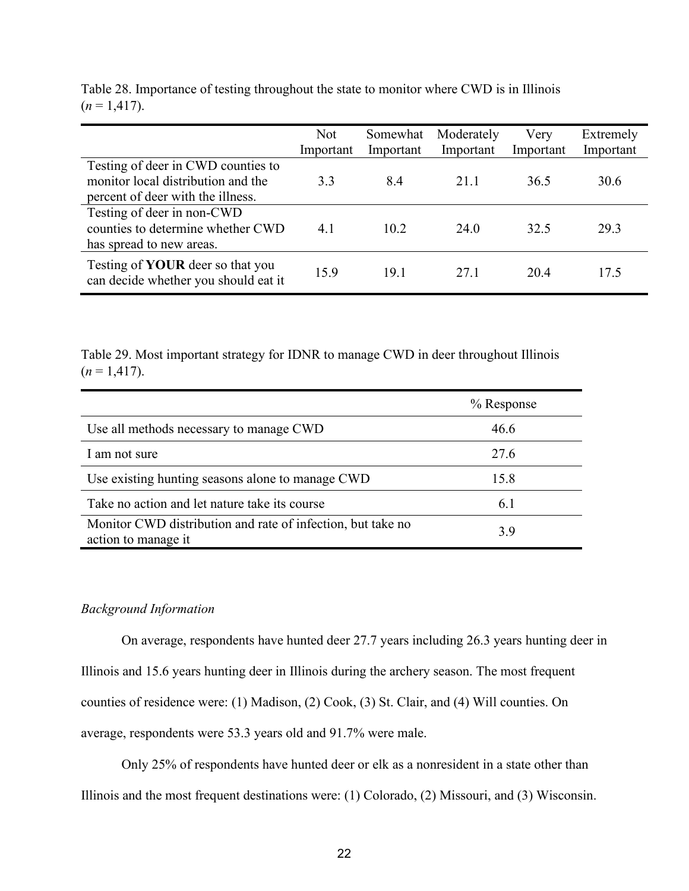|                                                                                                               | <b>Not</b><br>Important | Somewhat<br>Important | Moderately<br>Important | Very<br>Important | Extremely<br>Important |
|---------------------------------------------------------------------------------------------------------------|-------------------------|-----------------------|-------------------------|-------------------|------------------------|
| Testing of deer in CWD counties to<br>monitor local distribution and the<br>percent of deer with the illness. | 3.3                     | 8.4                   | 21.1                    | 36.5              | 30.6                   |
| Testing of deer in non-CWD<br>counties to determine whether CWD<br>has spread to new areas.                   | 4.1                     | 10.2                  | 24.0                    | 32.5              | 29.3                   |
| Testing of <b>YOUR</b> deer so that you<br>can decide whether you should eat it                               | 15.9                    | 19.1                  | 27.1                    | 20.4              | 17.5                   |

<span id="page-24-0"></span>Table 28. Importance of testing throughout the state to monitor where CWD is in Illinois  $(n=1,417).$ 

<span id="page-24-1"></span>Table 29. Most important strategy for IDNR to manage CWD in deer throughout Illinois  $(n=1,417).$ 

|                                                                                    | $%$ Response |
|------------------------------------------------------------------------------------|--------------|
| Use all methods necessary to manage CWD                                            | 46.6         |
| I am not sure                                                                      | 27.6         |
| Use existing hunting seasons alone to manage CWD                                   | 15.8         |
| Take no action and let nature take its course                                      | 6.1          |
| Monitor CWD distribution and rate of infection, but take no<br>action to manage it | 3.9          |

#### *Background Information*

On average, respondents have hunted deer 27.7 years including 26.3 years hunting deer in Illinois and 15.6 years hunting deer in Illinois during the archery season. The most frequent counties of residence were: (1) Madison, (2) Cook, (3) St. Clair, and (4) Will counties. On average, respondents were 53.3 years old and 91.7% were male.

Only 25% of respondents have hunted deer or elk as a nonresident in a state other than

Illinois and the most frequent destinations were: (1) Colorado, (2) Missouri, and (3) Wisconsin.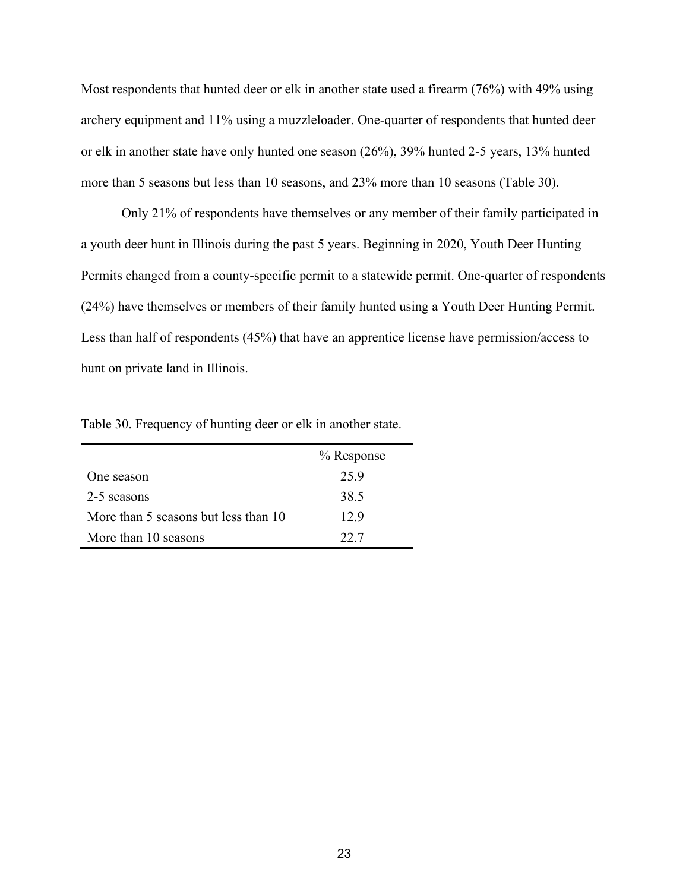Most respondents that hunted deer or elk in another state used a firearm (76%) with 49% using archery equipment and 11% using a muzzleloader. One-quarter of respondents that hunted deer or elk in another state have only hunted one season (26%), 39% hunted 2-5 years, 13% hunted more than 5 seasons but less than 10 seasons, and 23% more than 10 seasons [\(Table 30\)](#page-25-0).

Only 21% of respondents have themselves or any member of their family participated in a youth deer hunt in Illinois during the past 5 years. Beginning in 2020, Youth Deer Hunting Permits changed from a county-specific permit to a statewide permit. One-quarter of respondents (24%) have themselves or members of their family hunted using a Youth Deer Hunting Permit. Less than half of respondents (45%) that have an apprentice license have permission/access to hunt on private land in Illinois.

|                                      | % Response |
|--------------------------------------|------------|
| One season                           | 25.9       |
| 2-5 seasons                          | 38.5       |
| More than 5 seasons but less than 10 | 12.9       |
| More than 10 seasons                 |            |

<span id="page-25-0"></span>Table 30. Frequency of hunting deer or elk in another state.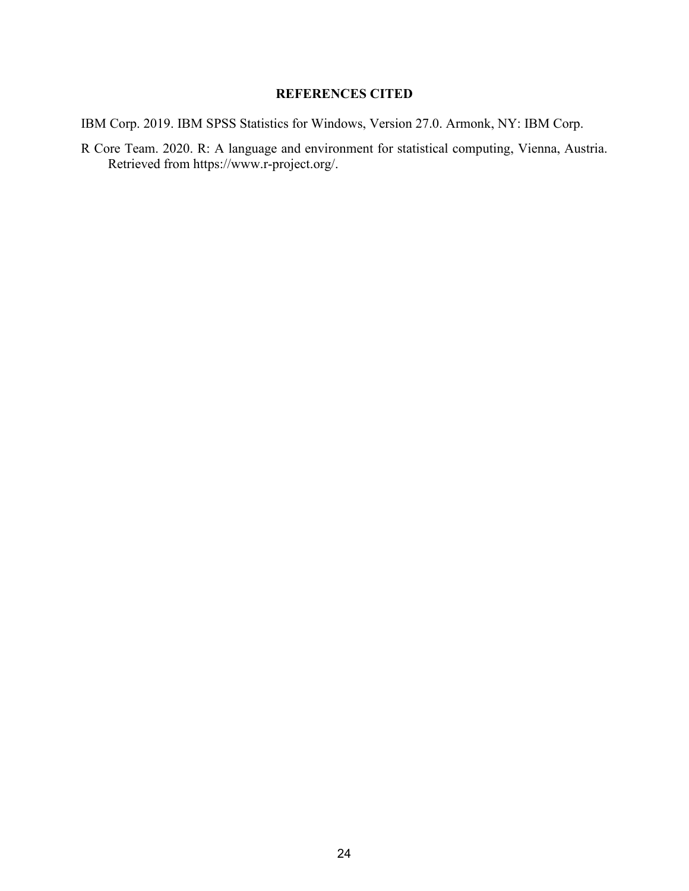#### **REFERENCES CITED**

IBM Corp. 2019. IBM SPSS Statistics for Windows, Version 27.0. Armonk, NY: IBM Corp.

R Core Team. 2020. R: A language and environment for statistical computing, Vienna, Austria. Retrieved from https://www.r-project.org/.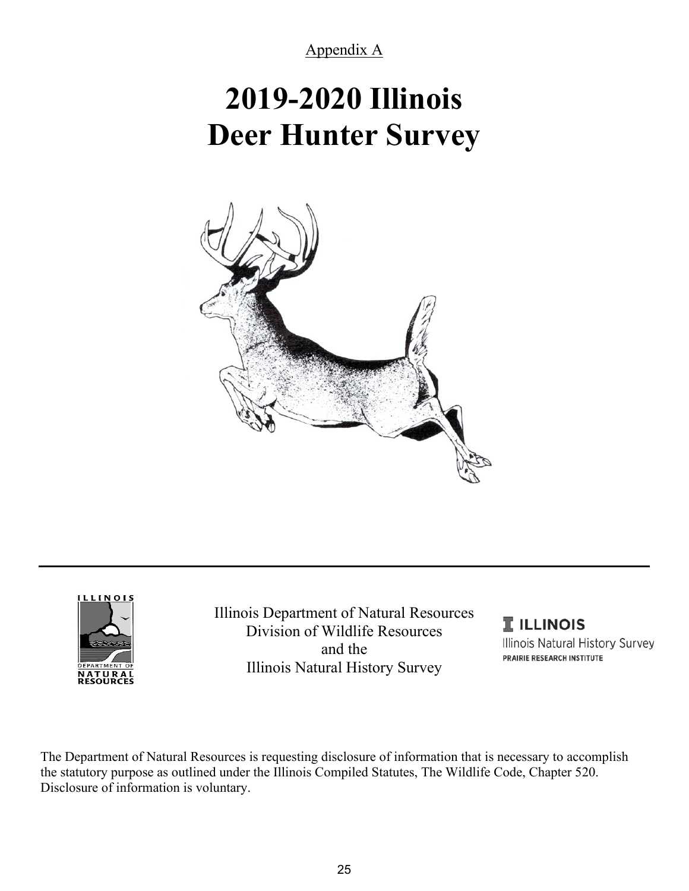Appendix A

# **2019-2020 Illinois Deer Hunter Survey**





Illinois Department of Natural Resources Division of Wildlife Resources and the Illinois Natural History Survey

**I** ILLINOIS Illinois Natural History Survey PRAIRIE RESEARCH INSTITUTE

The Department of Natural Resources is requesting disclosure of information that is necessary to accomplish the statutory purpose as outlined under the Illinois Compiled Statutes, The Wildlife Code, Chapter 520. Disclosure of information is voluntary.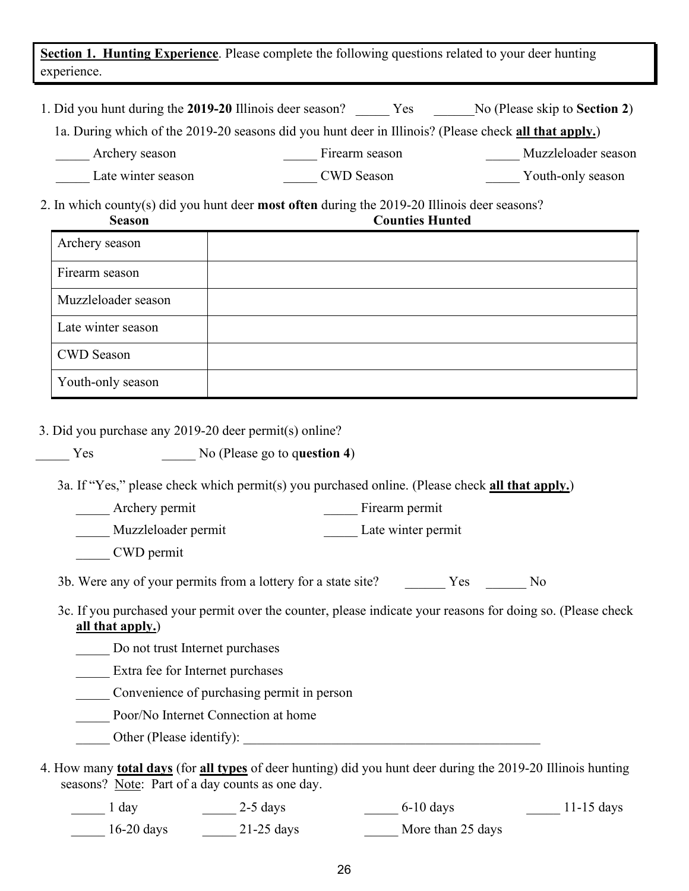**Section 1. Hunting Experience**. Please complete the following questions related to your deer hunting experience.

| 1. Did you hunt during the 2019-20 Illinois deer season? | <b>Yes</b> | No (Please skip to Section 2) |
|----------------------------------------------------------|------------|-------------------------------|
|----------------------------------------------------------|------------|-------------------------------|

1a. During which of the 2019-20 seasons did you hunt deer in Illinois? (Please check **all that apply.**)

Archery season Firearm season Firearm season Muzzleloader season

Late winter season **EXACTER** CWD Season **EXACTER** Youth-only season

2. In which county(s) did you hunt deer **most often** during the 2019-20 Illinois deer seasons? **Season Counties Hunted** 

| Archery season      |  |
|---------------------|--|
| Firearm season      |  |
| Muzzleloader season |  |
| Late winter season  |  |
| <b>CWD</b> Season   |  |
| Youth-only season   |  |

3. Did you purchase any 2019-20 deer permit(s) online?

| Yes. | No (Please go to question 4) |
|------|------------------------------|
|      |                              |

3a. If "Yes," please check which permit(s) you purchased online. (Please check **all that apply.**)

| Archery permit | Firearm permit |
|----------------|----------------|
|----------------|----------------|

| Muzzleloader permit | Late winter permit |  |
|---------------------|--------------------|--|
|---------------------|--------------------|--|

\_\_\_\_\_ CWD permit

3b. Were any of your permits from a lottery for a state site? \_\_\_\_\_\_\_\_ Yes \_\_\_\_\_\_ No

 3c. If you purchased your permit over the counter, please indicate your reasons for doing so. (Please check **all that apply.**)

Do not trust Internet purchases

\_\_\_\_\_ Extra fee for Internet purchases

\_\_\_\_\_ Convenience of purchasing permit in person

\_\_\_\_\_ Poor/No Internet Connection at home

- \_\_\_\_\_ Other (Please identify): \_\_\_\_\_\_\_\_\_\_\_\_\_\_\_\_\_\_\_\_\_\_\_\_\_\_\_\_\_\_\_\_\_\_\_\_\_\_\_\_\_\_\_\_
- 4. How many **total days** (for **all types** of deer hunting) did you hunt deer during the 2019-20 Illinois hunting seasons? Note: Part of a day counts as one day.

| $\frac{1}{1}$ day | $2-5$ days   | $6-10$ days       | $11-15$ days |
|-------------------|--------------|-------------------|--------------|
| $16-20$ days      | $21-25$ days | More than 25 days |              |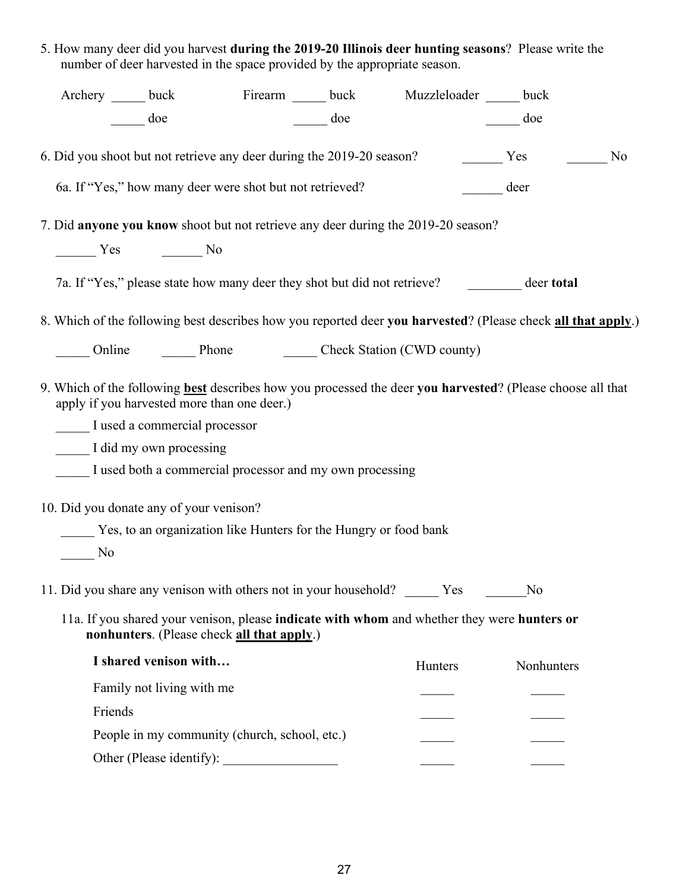| 5. How many deer did you harvest <b>during the 2019-20 Illinois deer hunting seasons</b> ? Please write the |  |
|-------------------------------------------------------------------------------------------------------------|--|
| number of deer harvested in the space provided by the appropriate season.                                   |  |

|         | Archery ______ buck Firearm ______ buck Muzzleloader _____ buck                   |     |         |                                                                                                              |                |
|---------|-----------------------------------------------------------------------------------|-----|---------|--------------------------------------------------------------------------------------------------------------|----------------|
|         | doe                                                                               | doe |         | doe                                                                                                          |                |
|         | 6. Did you shoot but not retrieve any deer during the 2019-20 season?             |     |         | Yes                                                                                                          | N <sub>0</sub> |
|         | 6a. If "Yes," how many deer were shot but not retrieved?                          |     |         | deer                                                                                                         |                |
|         | 7. Did anyone you know shoot but not retrieve any deer during the 2019-20 season? |     |         |                                                                                                              |                |
|         | No Nesternal Contract No.                                                         |     |         |                                                                                                              |                |
|         |                                                                                   |     |         | 7a. If "Yes," please state how many deer they shot but did not retrieve? deer total                          |                |
|         |                                                                                   |     |         | 8. Which of the following best describes how you reported deer you harvested? (Please check all that apply.) |                |
|         | Online Phone Check Station (CWD county)                                           |     |         |                                                                                                              |                |
|         | apply if you harvested more than one deer.)                                       |     |         | 9. Which of the following best describes how you processed the deer you harvested? (Please choose all that   |                |
|         | I used a commercial processor                                                     |     |         |                                                                                                              |                |
|         | I did my own processing                                                           |     |         |                                                                                                              |                |
|         | I used both a commercial processor and my own processing                          |     |         |                                                                                                              |                |
|         | 10. Did you donate any of your venison?                                           |     |         |                                                                                                              |                |
|         | _____ Yes, to an organization like Hunters for the Hungry or food bank            |     |         |                                                                                                              |                |
| No.     |                                                                                   |     |         |                                                                                                              |                |
|         | 11. Did you share any venison with others not in your household? Yes              |     |         | No                                                                                                           |                |
|         | nonhunters. (Please check all that apply.)                                        |     |         | 11a. If you shared your venison, please indicate with whom and whether they were hunters or                  |                |
|         | I shared venison with                                                             |     | Hunters | Nonhunters                                                                                                   |                |
|         | Family not living with me                                                         |     |         |                                                                                                              |                |
| Friends |                                                                                   |     |         |                                                                                                              |                |
|         | People in my community (church, school, etc.)                                     |     |         |                                                                                                              |                |
|         | Other (Please identify):                                                          |     |         |                                                                                                              |                |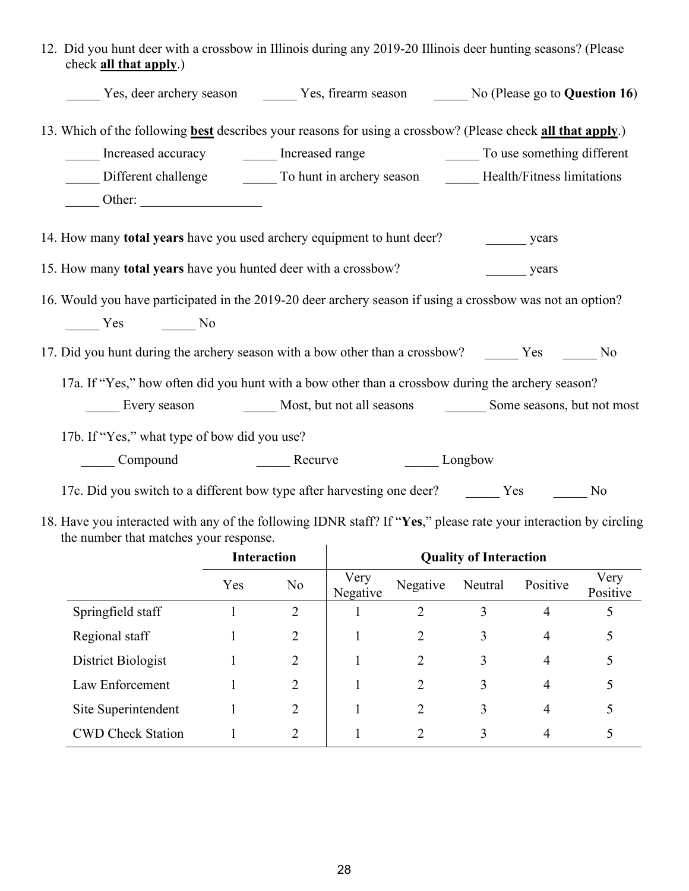| 12. Did you hunt deer with a crossbow in Illinois during any 2019-20 Illinois deer hunting seasons? (Please<br>check all that apply.) |
|---------------------------------------------------------------------------------------------------------------------------------------|
| Yes, deer archery season _________ Yes, firearm season ________ No (Please go to Question 16)                                         |
| 13. Which of the following <b>best</b> describes your reasons for using a crossbow? (Please check all that apply.)                    |
| Increased accuracy <b>Exercise 2</b> Increased range To use something different                                                       |
| Different challenge To hunt in archery season Health/Fitness limitations                                                              |
| $\frac{\text{Other:}}{\text{Other:}}$                                                                                                 |
| 14. How many total years have you used archery equipment to hunt deer?<br>years                                                       |
| 15. How many total years have you hunted deer with a crossbow?<br>years                                                               |
| 16. Would you have participated in the 2019-20 deer archery season if using a crossbow was not an option?                             |
| $\frac{1}{\sqrt{1-\frac{1}{c}}}\text{Yes}$ No                                                                                         |
| 17. Did you hunt during the archery season with a bow other than a crossbow? _______ Yes _______ No                                   |
| 17a. If "Yes," how often did you hunt with a bow other than a crossbow during the archery season?                                     |
| Every season Most, but not all seasons Some seasons, but not most                                                                     |
| 17b. If "Yes," what type of bow did you use?                                                                                          |
| Compound Recurve<br>Longbow                                                                                                           |
| 17c. Did you switch to a different bow type after harvesting one deer? The Yes<br>No                                                  |

18. Have you interacted with any of the following IDNR staff? If "**Yes**," please rate your interaction by circling the number that matches your response.  $\overline{1}$ 

|                          | <b>Interaction</b> |                | <b>Quality of Interaction</b> |          |         |          |                  |  |
|--------------------------|--------------------|----------------|-------------------------------|----------|---------|----------|------------------|--|
|                          | Yes                | N <sub>o</sub> | Very<br>Negative              | Negative | Neutral | Positive | Very<br>Positive |  |
| Springfield staff        |                    | 2              |                               |          | 3       | 4        | 5                |  |
| Regional staff           |                    | 2              |                               | 2        | 3       | 4        | 5                |  |
| District Biologist       |                    | 2              |                               | 2        | 3       | 4        |                  |  |
| Law Enforcement          |                    | 2              |                               | 2        | 3       | 4        |                  |  |
| Site Superintendent      |                    | 2              |                               | 2        | 3       | 4        | 5                |  |
| <b>CWD Check Station</b> |                    | 2              |                               | 2        | 3       | 4        |                  |  |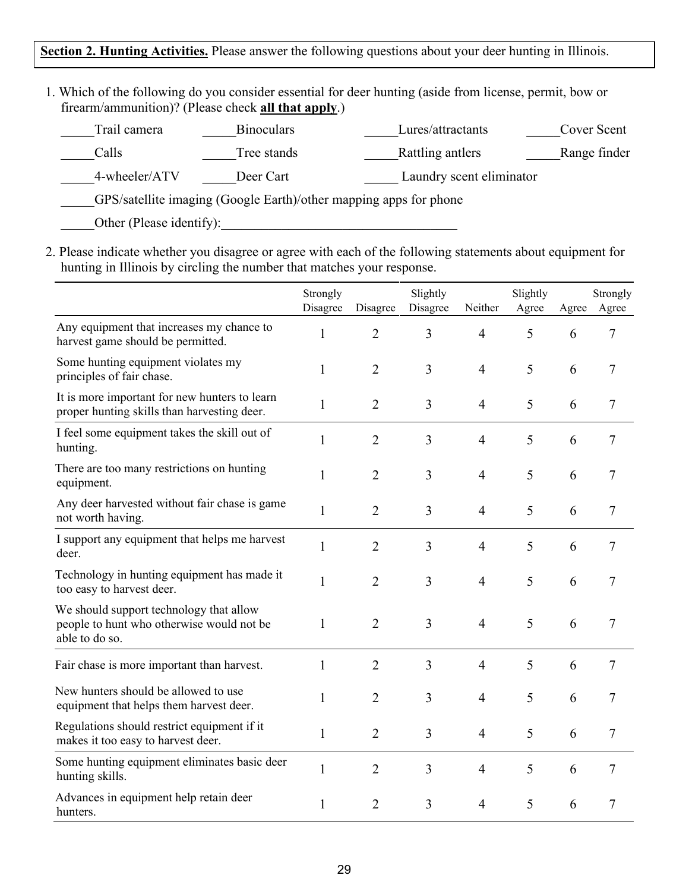### **Section 2. Hunting Activities.** Please answer the following questions about your deer hunting in Illinois.

1. Which of the following do you consider essential for deer hunting (aside from license, permit, bow or firearm/ammunition)? (Please check **all that apply**.)

| Trail camera  | <b>Binoculars</b> | Lures/attractants                                                 | Cover Scent  |
|---------------|-------------------|-------------------------------------------------------------------|--------------|
| Calls         | Tree stands       | Rattling antlers                                                  | Range finder |
| 4-wheeler/ATV | Deer Cart         | Laundry scent eliminator                                          |              |
|               |                   | GPS/satellite imaging (Google Earth)/other mapping apps for phone |              |

Other (Please identify):

2. Please indicate whether you disagree or agree with each of the following statements about equipment for hunting in Illinois by circling the number that matches your response.

|                                                                                                        | Strongly<br>Disagree | Disagree       | Slightly<br>Disagree | Neither        | Slightly<br>Agree | Agree | Strongly<br>Agree |
|--------------------------------------------------------------------------------------------------------|----------------------|----------------|----------------------|----------------|-------------------|-------|-------------------|
| Any equipment that increases my chance to<br>harvest game should be permitted.                         | $\mathbf{1}$         | $\overline{2}$ | 3                    | $\overline{4}$ | 5                 | 6     | 7                 |
| Some hunting equipment violates my<br>principles of fair chase.                                        | 1                    | $\overline{2}$ | 3                    | $\overline{4}$ | 5                 | 6     | 7                 |
| It is more important for new hunters to learn<br>proper hunting skills than harvesting deer.           | 1                    | $\overline{2}$ | 3                    | $\overline{4}$ | 5                 | 6     | 7                 |
| I feel some equipment takes the skill out of<br>hunting.                                               | $\mathbf{1}$         | $\overline{2}$ | 3                    | $\overline{4}$ | 5                 | 6     | 7                 |
| There are too many restrictions on hunting<br>equipment.                                               | 1                    | $\overline{2}$ | 3                    | $\overline{4}$ | 5                 | 6     | 7                 |
| Any deer harvested without fair chase is game<br>not worth having.                                     | $\mathbf{1}$         | $\overline{2}$ | 3                    | $\overline{4}$ | 5                 | 6     | 7                 |
| I support any equipment that helps me harvest<br>deer.                                                 | 1                    | $\overline{2}$ | 3                    | $\overline{4}$ | 5                 | 6     | 7                 |
| Technology in hunting equipment has made it<br>too easy to harvest deer.                               | $\mathbf{1}$         | $\overline{2}$ | 3                    | $\overline{4}$ | 5                 | 6     | 7                 |
| We should support technology that allow<br>people to hunt who otherwise would not be<br>able to do so. | 1                    | $\overline{2}$ | 3                    | $\overline{4}$ | 5                 | 6     | 7                 |
| Fair chase is more important than harvest.                                                             | $\mathbf{1}$         | $\overline{2}$ | 3                    | $\overline{4}$ | 5                 | 6     | 7                 |
| New hunters should be allowed to use<br>equipment that helps them harvest deer.                        | 1                    | $\overline{2}$ | 3                    | $\overline{4}$ | 5                 | 6     | 7                 |
| Regulations should restrict equipment if it<br>makes it too easy to harvest deer.                      | $\mathbf{1}$         | $\overline{2}$ | 3                    | $\overline{4}$ | 5                 | 6     | 7                 |
| Some hunting equipment eliminates basic deer<br>hunting skills.                                        | 1                    | $\overline{2}$ | 3                    | $\overline{4}$ | 5                 | 6     | 7                 |
| Advances in equipment help retain deer<br>hunters.                                                     | 1                    | $\overline{2}$ | 3                    | $\overline{4}$ | 5                 | 6     | 7                 |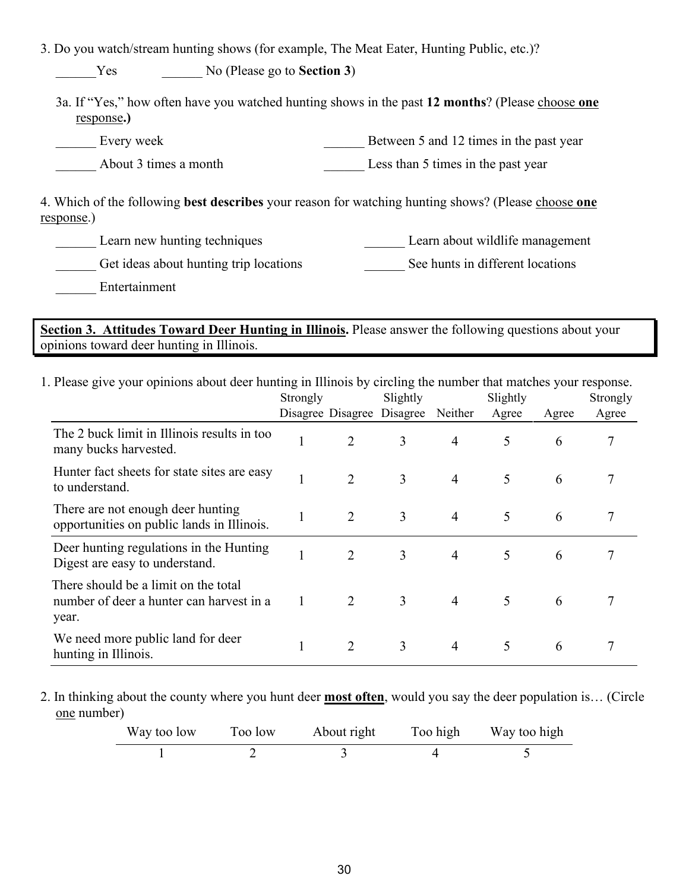3. Do you watch/stream hunting shows (for example, The Meat Eater, Hunting Public, etc.)?

\_\_\_\_\_\_Yes \_\_\_\_\_\_ No (Please go to **Section 3**)

3a. If "Yes," how often have you watched hunting shows in the past **12 months**? (Please choose **one** response**.)**

Every week Every week Every week Every week and 12 times in the past year

About 3 times a month Less than 5 times in the past year

4. Which of the following **best describes** your reason for watching hunting shows? (Please choose **one** response.)

| Learn new hunting techniques | Learn about wildlife management |  |
|------------------------------|---------------------------------|--|
|                              |                                 |  |

Get ideas about hunting trip locations See hunts in different locations See hunts in different locations

\_\_\_\_\_\_ Entertainment

**Section 3. Attitudes Toward Deer Hunting in Illinois.** Please answer the following questions about your opinions toward deer hunting in Illinois.

1. Please give your opinions about deer hunting in Illinois by circling the number that matches your response.

|                                                                                           | Strongly |                            | Slightly |                | Slightly |       | Strongly |
|-------------------------------------------------------------------------------------------|----------|----------------------------|----------|----------------|----------|-------|----------|
|                                                                                           |          | Disagree Disagree Disagree |          | Neither        | Agree    | Agree | Agree    |
| The 2 buck limit in Illinois results in too<br>many bucks harvested.                      |          | 2                          | 3        | $\overline{4}$ | 5        | 6     |          |
| Hunter fact sheets for state sites are easy<br>to understand.                             |          | $\overline{2}$             | 3        | $\overline{4}$ | 5        | 6     |          |
| There are not enough deer hunting<br>opportunities on public lands in Illinois.           |          | $\overline{2}$             | 3        | $\overline{4}$ | 5        | 6     |          |
| Deer hunting regulations in the Hunting<br>Digest are easy to understand.                 |          | $\overline{2}$             | 3        | $\overline{4}$ | 5        | 6     |          |
| There should be a limit on the total<br>number of deer a hunter can harvest in a<br>year. |          | $\overline{2}$             | 3        | $\overline{4}$ | 5        | 6     |          |
| We need more public land for deer<br>hunting in Illinois.                                 |          | 2                          | 3        | $\overline{4}$ | 5        | 6     |          |

2. In thinking about the county where you hunt deer **most often**, would you say the deer population is… (Circle one number)

| Way too low | Too low | About right | Too high | Way too high |
|-------------|---------|-------------|----------|--------------|
|             |         |             |          |              |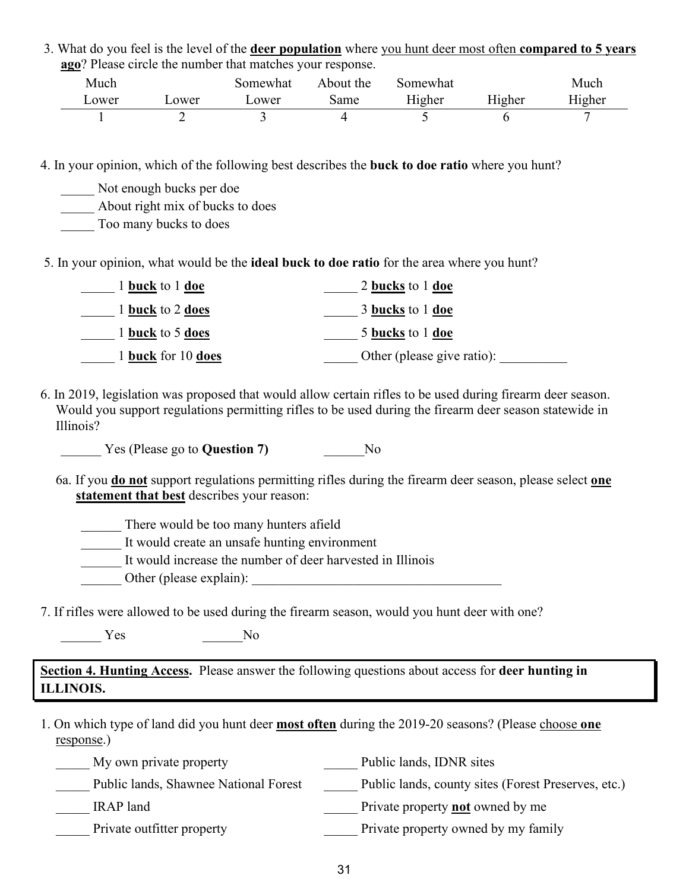3. What do you feel is the level of the **deer population** where you hunt deer most often **compared to 5 years ago**? Please circle the number that matches your response.

| Much          |       | Somewhat | About the | Somewhat |        | Much   |
|---------------|-------|----------|-----------|----------|--------|--------|
| $\omega$ ower | ower_ | ower_    | same      | Higher   | Higher | Higher |
|               |       |          |           |          |        |        |

4. In your opinion, which of the following best describes the **buck to doe ratio** where you hunt?

Not enough bucks per doe

\_\_\_\_\_ About right mix of bucks to does

\_\_\_\_\_ Too many bucks to does

5. In your opinion, what would be the **ideal buck to doe ratio** for the area where you hunt?

| 1 <b>buck</b> to 1 <b>doe</b>  | 2 bucks to 1 doe           |
|--------------------------------|----------------------------|
| 1 <b>buck</b> to 2 <b>does</b> | 3 bucks to 1 doe           |
| 1 buck to 5 does               | 5 bucks to 1 doe           |
| 1 buck for 10 does             | Other (please give ratio): |

6. In 2019, legislation was proposed that would allow certain rifles to be used during firearm deer season. Would you support regulations permitting rifles to be used during the firearm deer season statewide in Illinois?

Yes (Please go to **Question 7)** No

6a. If you **do not** support regulations permitting rifles during the firearm deer season, please select **one statement that best** describes your reason:

\_\_\_\_\_\_ There would be too many hunters afield

\_\_\_\_\_\_ It would create an unsafe hunting environment

\_\_\_\_\_\_ It would increase the number of deer harvested in Illinois

\_\_\_\_\_\_ Other (please explain): \_\_\_\_\_\_\_\_\_\_\_\_\_\_\_\_\_\_\_\_\_\_\_\_\_\_\_\_\_\_\_\_\_\_\_\_\_

7. If rifles were allowed to be used during the firearm season, would you hunt deer with one?

 $\gamma$ es  $\gamma$ 

**Section 4. Hunting Access.** Please answer the following questions about access for **deer hunting in ILLINOIS.**

1. On which type of land did you hunt deer **most often** during the 2019-20 seasons? (Please choose **one**  response.)

| My own private property               | Public lands, IDNR sites                            |
|---------------------------------------|-----------------------------------------------------|
| Public lands, Shawnee National Forest | Public lands, county sites (Forest Preserves, etc.) |
| IRAP land                             | Private property <b>not</b> owned by me             |
| Private outfitter property            | Private property owned by my family                 |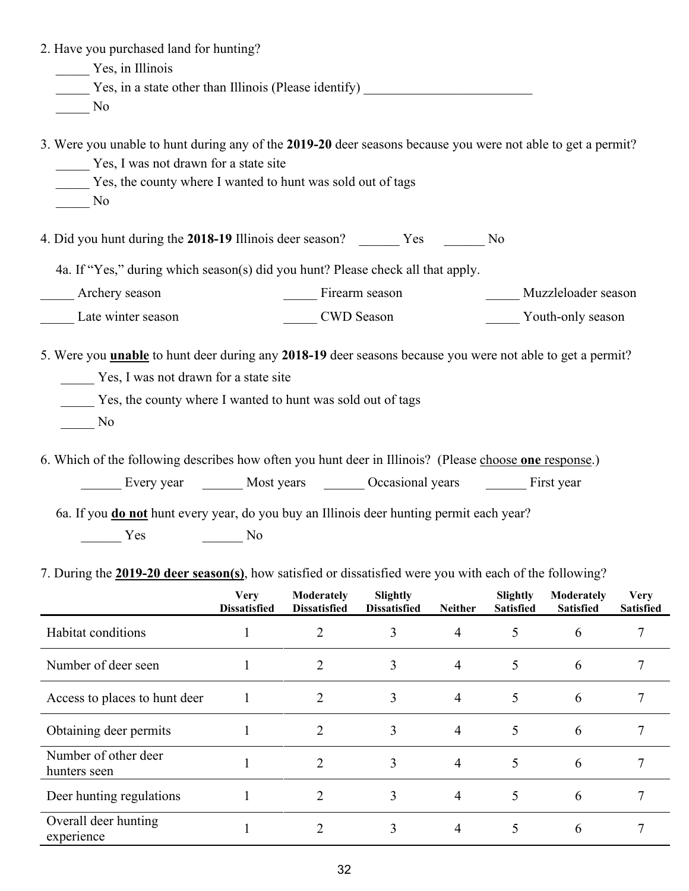| 2. Have you purchased land for hunting?                                                                                                                                                                                                                                                                                                    |                                           |                                   |                                 |                |                              |                                |                                 |
|--------------------------------------------------------------------------------------------------------------------------------------------------------------------------------------------------------------------------------------------------------------------------------------------------------------------------------------------|-------------------------------------------|-----------------------------------|---------------------------------|----------------|------------------------------|--------------------------------|---------------------------------|
| Yes, in Illinois                                                                                                                                                                                                                                                                                                                           |                                           |                                   |                                 |                |                              |                                |                                 |
| Yes, in a state other than Illinois (Please identify) ___________________________                                                                                                                                                                                                                                                          |                                           |                                   |                                 |                |                              |                                |                                 |
| No                                                                                                                                                                                                                                                                                                                                         |                                           |                                   |                                 |                |                              |                                |                                 |
| 3. Were you unable to hunt during any of the 2019-20 deer seasons because you were not able to get a permit?<br>Yes, I was not drawn for a state site<br>Yes, the county where I wanted to hunt was sold out of tags<br>No                                                                                                                 |                                           |                                   |                                 |                |                              |                                |                                 |
| 4. Did you hunt during the 2018-19 Illinois deer season? __________ Yes _________ No                                                                                                                                                                                                                                                       |                                           |                                   |                                 |                |                              |                                |                                 |
| 4a. If "Yes," during which season(s) did you hunt? Please check all that apply.                                                                                                                                                                                                                                                            |                                           |                                   |                                 |                |                              |                                |                                 |
| ___ Archery season                                                                                                                                                                                                                                                                                                                         |                                           | Firearm season                    |                                 |                |                              | Muzzleloader season            |                                 |
| Late winter season                                                                                                                                                                                                                                                                                                                         |                                           | CWD Season                        |                                 |                |                              | Youth-only season              |                                 |
| Yes, the county where I wanted to hunt was sold out of tags<br>No<br>6. Which of the following describes how often you hunt deer in Illinois? (Please choose one response.)<br>Every year Most years Cocasional years First year<br>6a. If you <b>do not</b> hunt every year, do you buy an Illinois deer hunting permit each year?<br>Yes | $\frac{1}{\sqrt{1-\frac{1}{2}}}\text{No}$ |                                   |                                 |                |                              |                                |                                 |
| 7. During the 2019-20 deer season(s), how satisfied or dissatisfied were you with each of the following?                                                                                                                                                                                                                                   | <b>Very</b><br><b>Dissatisfied</b>        | Moderately<br><b>Dissatisfied</b> | Slightly<br><b>Dissatisfied</b> | <b>Neither</b> | Slightly<br><b>Satisfied</b> | Moderately<br><b>Satisfied</b> | <b>Very</b><br><b>Satisfied</b> |
| Habitat conditions                                                                                                                                                                                                                                                                                                                         | $\mathbf 1$                               | $\overline{2}$                    | 3                               | $\overline{4}$ | 5                            | 6                              | 7                               |
| Number of deer seen                                                                                                                                                                                                                                                                                                                        | 1                                         | $\overline{2}$                    | 3                               | $\overline{4}$ | 5                            | 6                              | 7                               |
| Access to places to hunt deer                                                                                                                                                                                                                                                                                                              | 1                                         | $\overline{2}$                    | 3                               | $\overline{4}$ | 5                            | 6                              | 7                               |
| Obtaining deer permits                                                                                                                                                                                                                                                                                                                     | $\mathbf{1}$                              | $\overline{2}$                    | 3                               | $\overline{4}$ | 5                            | 6                              | 7                               |
| Number of other deer<br>hunters seen                                                                                                                                                                                                                                                                                                       | $\mathbf{1}$                              | $\overline{2}$                    | 3                               | $\overline{4}$ | 5                            | 6                              | 7                               |
| Deer hunting regulations                                                                                                                                                                                                                                                                                                                   | 1                                         | 2                                 | 3                               | $\overline{4}$ | 5                            | 6                              | 7                               |
| Overall deer hunting<br>experience                                                                                                                                                                                                                                                                                                         | 1                                         | $\overline{2}$                    | 3                               | 4              | 5                            | 6                              | 7                               |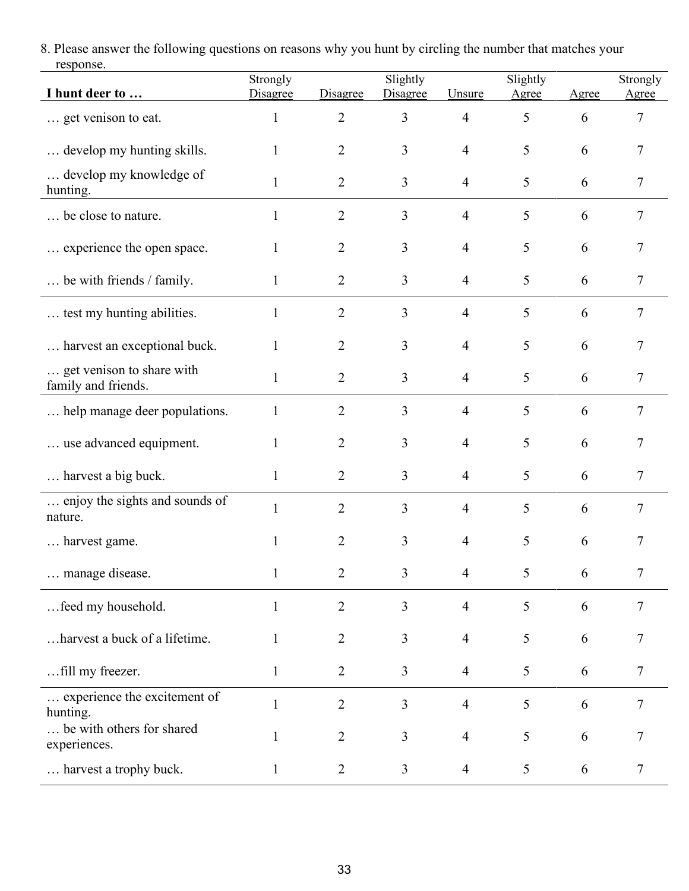8. Please answer the following questions on reasons why you hunt by circling the number that matches your response.

| I hunt deer to                                   | Strongly<br>Disagree | Disagree       | Slightly<br>Disagree | Unsure         | Slightly<br>Agree | Agree | Strongly<br>Agree |
|--------------------------------------------------|----------------------|----------------|----------------------|----------------|-------------------|-------|-------------------|
| get venison to eat.                              | $\mathbf{1}$         | $\overline{2}$ | 3                    | $\overline{4}$ | 5                 | 6     | 7                 |
| develop my hunting skills.                       | 1                    | $\overline{2}$ | 3                    | $\overline{4}$ | 5                 | 6     | 7                 |
| develop my knowledge of<br>hunting.              | $\mathbf{1}$         | $\overline{2}$ | 3                    | $\overline{4}$ | 5                 | 6     | 7                 |
| be close to nature.                              | 1                    | 2              | 3                    | $\overline{4}$ | 5                 | 6     | 7                 |
| experience the open space.                       | $\mathbf{1}$         | $\overline{2}$ | 3                    | $\overline{4}$ | 5                 | 6     | 7                 |
| be with friends / family.                        | 1                    | $\overline{2}$ | $\overline{3}$       | $\overline{4}$ | 5                 | 6     | 7                 |
| test my hunting abilities.                       | $\mathbf{1}$         | $\overline{2}$ | $\overline{3}$       | 4              | 5                 | 6     | 7                 |
| harvest an exceptional buck.                     | $\mathbf{1}$         | $\overline{2}$ | 3                    | $\overline{4}$ | 5                 | 6     | 7                 |
| get venison to share with<br>family and friends. | 1                    | $\overline{2}$ | 3                    | $\overline{4}$ | 5                 | 6     | 7                 |
| help manage deer populations.                    | 1                    | 2              | 3                    | 4              | 5                 | 6     | 7                 |
| use advanced equipment.                          |                      | 2              | 3                    | 4              | 5                 | 6     | 7                 |
| harvest a big buck.                              | $\mathbf{1}$         | $\overline{2}$ | $\overline{3}$       | $\overline{4}$ | 5                 | 6     | 7                 |
| enjoy the sights and sounds of<br>nature.        | $\mathbf{1}$         | $\overline{2}$ | 3                    | $\overline{4}$ | 5                 | 6     | 7                 |
| harvest game.                                    | $\mathbf{1}$         | 2              | 3                    | 4              | 5                 | 6     | 7                 |
| manage disease.                                  |                      | 2              | 3                    | 4              | 5                 | 6     |                   |
| feed my household.                               | $\mathbf{1}$         | $\overline{2}$ | 3                    | $\overline{4}$ | 5                 | 6     | 7                 |
| harvest a buck of a lifetime.                    | $\mathbf{1}$         | $\overline{2}$ | 3                    | 4              | 5                 | 6     | 7                 |
| fill my freezer.                                 | $\mathbf{1}$         | $\overline{2}$ | $\mathfrak{Z}$       | $\overline{4}$ | 5                 | 6     | 7                 |
| experience the excitement of<br>hunting.         | $\mathbf{1}$         | $\overline{2}$ | 3                    | $\overline{4}$ | 5                 | 6     | 7                 |
| be with others for shared<br>experiences.        | 1                    | $\overline{2}$ | 3                    | 4              | 5                 | 6     | 7                 |
| harvest a trophy buck.                           | $\mathbf{1}$         | $\overline{2}$ | $\mathfrak{Z}$       | 4              | 5                 | 6     | 7                 |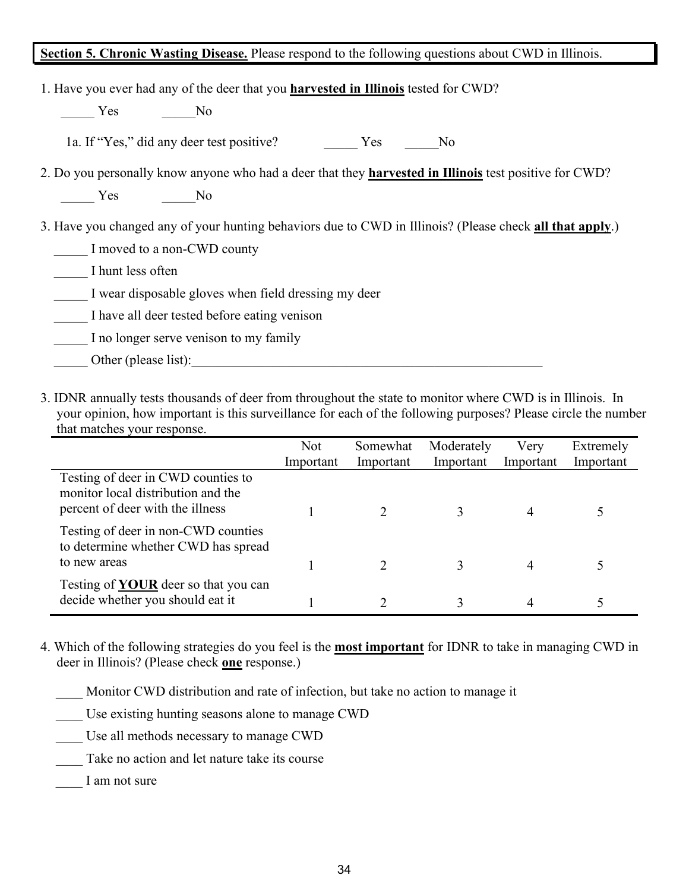#### **Section 5. Chronic Wasting Disease.** Please respond to the following questions about CWD in Illinois.

| 1. Have you ever had any of the deer that you <b>harvested in Illinois</b> tested for CWD?                    |     |    |  |  |  |  |
|---------------------------------------------------------------------------------------------------------------|-----|----|--|--|--|--|
| Yes<br>N <sub>o</sub>                                                                                         |     |    |  |  |  |  |
| 1a. If "Yes," did any deer test positive?                                                                     | Yes | No |  |  |  |  |
| 2. Do you personally know anyone who had a deer that they <b>harvested in Illinois</b> test positive for CWD? |     |    |  |  |  |  |
| Yes<br>No                                                                                                     |     |    |  |  |  |  |
| 3. Have you changed any of your hunting behaviors due to CWD in Illinois? (Please check all that apply.)      |     |    |  |  |  |  |
| I moved to a non-CWD county                                                                                   |     |    |  |  |  |  |
| I hunt less often                                                                                             |     |    |  |  |  |  |
| I wear disposable gloves when field dressing my deer                                                          |     |    |  |  |  |  |
| I have all deer tested before eating venison                                                                  |     |    |  |  |  |  |
| I no longer serve venison to my family                                                                        |     |    |  |  |  |  |
| Other (please list):                                                                                          |     |    |  |  |  |  |
|                                                                                                               |     |    |  |  |  |  |

3. IDNR annually tests thousands of deer from throughout the state to monitor where CWD is in Illinois. In your opinion, how important is this surveillance for each of the following purposes? Please circle the number that matches your response.

|                                                                                                              | <b>Not</b><br>Important | Somewhat<br>Important | Moderately<br>Important | Very<br>Important | Extremely<br>Important |
|--------------------------------------------------------------------------------------------------------------|-------------------------|-----------------------|-------------------------|-------------------|------------------------|
| Testing of deer in CWD counties to<br>monitor local distribution and the<br>percent of deer with the illness |                         |                       |                         |                   |                        |
| Testing of deer in non-CWD counties<br>to determine whether CWD has spread<br>to new areas                   |                         |                       |                         | 4                 |                        |
| Testing of <b>YOUR</b> deer so that you can<br>decide whether you should eat it                              |                         |                       |                         | 4                 |                        |

4. Which of the following strategies do you feel is the **most important** for IDNR to take in managing CWD in deer in Illinois? (Please check **one** response.)

Monitor CWD distribution and rate of infection, but take no action to manage it

- Use existing hunting seasons alone to manage CWD
- Use all methods necessary to manage CWD
- Take no action and let nature take its course
- I am not sure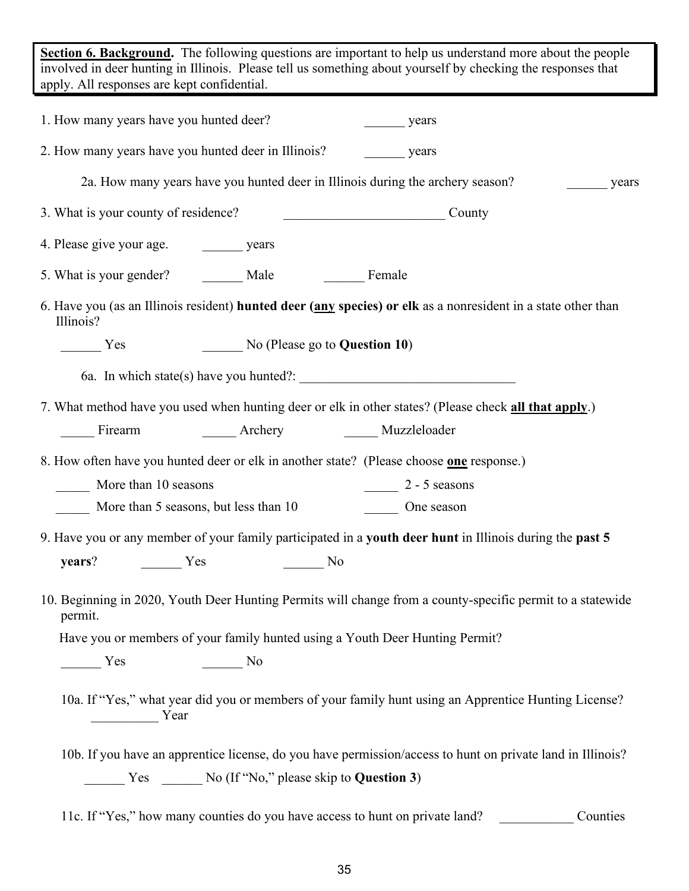**Section 6. Background.** The following questions are important to help us understand more about the people involved in deer hunting in Illinois. Please tell us something about yourself by checking the responses that apply. All responses are kept confidential.

| 1. How many years have you hunted deer?                                                                                                                                                                                                                                                                                                                                                                              |                                                                                                                                                                                                                                                                                                                                                                                                                      | years                                                                                                         |          |
|----------------------------------------------------------------------------------------------------------------------------------------------------------------------------------------------------------------------------------------------------------------------------------------------------------------------------------------------------------------------------------------------------------------------|----------------------------------------------------------------------------------------------------------------------------------------------------------------------------------------------------------------------------------------------------------------------------------------------------------------------------------------------------------------------------------------------------------------------|---------------------------------------------------------------------------------------------------------------|----------|
|                                                                                                                                                                                                                                                                                                                                                                                                                      | 2. How many years have you hunted deer in Illinois?                                                                                                                                                                                                                                                                                                                                                                  | years                                                                                                         |          |
|                                                                                                                                                                                                                                                                                                                                                                                                                      |                                                                                                                                                                                                                                                                                                                                                                                                                      | 2a. How many years have you hunted deer in Illinois during the archery season?                                | years    |
| 3. What is your county of residence?                                                                                                                                                                                                                                                                                                                                                                                 |                                                                                                                                                                                                                                                                                                                                                                                                                      | County                                                                                                        |          |
|                                                                                                                                                                                                                                                                                                                                                                                                                      |                                                                                                                                                                                                                                                                                                                                                                                                                      |                                                                                                               |          |
| 5. What is your gender? Male                                                                                                                                                                                                                                                                                                                                                                                         |                                                                                                                                                                                                                                                                                                                                                                                                                      | Female                                                                                                        |          |
| Illinois?                                                                                                                                                                                                                                                                                                                                                                                                            |                                                                                                                                                                                                                                                                                                                                                                                                                      | 6. Have you (as an Illinois resident) hunted deer (any species) or elk as a nonresident in a state other than |          |
| Yes                                                                                                                                                                                                                                                                                                                                                                                                                  | $\frac{1}{2}$ No (Please go to <b>Question 10)</b>                                                                                                                                                                                                                                                                                                                                                                   |                                                                                                               |          |
|                                                                                                                                                                                                                                                                                                                                                                                                                      |                                                                                                                                                                                                                                                                                                                                                                                                                      |                                                                                                               |          |
|                                                                                                                                                                                                                                                                                                                                                                                                                      |                                                                                                                                                                                                                                                                                                                                                                                                                      | 7. What method have you used when hunting deer or elk in other states? (Please check all that apply.)         |          |
| Firearm                                                                                                                                                                                                                                                                                                                                                                                                              | <b>Archery</b>                                                                                                                                                                                                                                                                                                                                                                                                       | ______ Muzzleloader                                                                                           |          |
|                                                                                                                                                                                                                                                                                                                                                                                                                      |                                                                                                                                                                                                                                                                                                                                                                                                                      | 8. How often have you hunted deer or elk in another state? (Please choose one response.)                      |          |
| More than 10 seasons                                                                                                                                                                                                                                                                                                                                                                                                 |                                                                                                                                                                                                                                                                                                                                                                                                                      | $2 - 5$ seasons                                                                                               |          |
| More than 5 seasons, but less than 10                                                                                                                                                                                                                                                                                                                                                                                |                                                                                                                                                                                                                                                                                                                                                                                                                      | One season                                                                                                    |          |
|                                                                                                                                                                                                                                                                                                                                                                                                                      |                                                                                                                                                                                                                                                                                                                                                                                                                      | 9. Have you or any member of your family participated in a youth deer hunt in Illinois during the past 5      |          |
| years?<br>Yes                                                                                                                                                                                                                                                                                                                                                                                                        | <b>No</b>                                                                                                                                                                                                                                                                                                                                                                                                            |                                                                                                               |          |
| permit.                                                                                                                                                                                                                                                                                                                                                                                                              |                                                                                                                                                                                                                                                                                                                                                                                                                      | 10. Beginning in 2020, Youth Deer Hunting Permits will change from a county-specific permit to a statewide    |          |
|                                                                                                                                                                                                                                                                                                                                                                                                                      |                                                                                                                                                                                                                                                                                                                                                                                                                      | Have you or members of your family hunted using a Youth Deer Hunting Permit?                                  |          |
| $\frac{1}{\sqrt{1-\frac{1}{2}}\sqrt{1-\frac{1}{2}}\sqrt{1-\frac{1}{2}}\sqrt{1-\frac{1}{2}}\sqrt{1-\frac{1}{2}}\sqrt{1-\frac{1}{2}}\sqrt{1-\frac{1}{2}}\sqrt{1-\frac{1}{2}}\sqrt{1-\frac{1}{2}}\sqrt{1-\frac{1}{2}}\sqrt{1-\frac{1}{2}}\sqrt{1-\frac{1}{2}}\sqrt{1-\frac{1}{2}}\sqrt{1-\frac{1}{2}}\sqrt{1-\frac{1}{2}}\sqrt{1-\frac{1}{2}}\sqrt{1-\frac{1}{2}}\sqrt{1-\frac{1}{2}}\sqrt{1-\frac{1}{2}}\sqrt{1-\frac$ | $\frac{1}{\sqrt{1-\frac{1}{2}}}\text{No}$                                                                                                                                                                                                                                                                                                                                                                            |                                                                                                               |          |
| Year                                                                                                                                                                                                                                                                                                                                                                                                                 |                                                                                                                                                                                                                                                                                                                                                                                                                      | 10a. If "Yes," what year did you or members of your family hunt using an Apprentice Hunting License?          |          |
|                                                                                                                                                                                                                                                                                                                                                                                                                      |                                                                                                                                                                                                                                                                                                                                                                                                                      | 10b. If you have an apprentice license, do you have permission/access to hunt on private land in Illinois?    |          |
|                                                                                                                                                                                                                                                                                                                                                                                                                      | $\frac{1}{\sqrt{1-\frac{1}{2}}\sqrt{1-\frac{1}{2}}\sqrt{1-\frac{1}{2}}\sqrt{1-\frac{1}{2}}\sqrt{1-\frac{1}{2}}\sqrt{1-\frac{1}{2}}\sqrt{1-\frac{1}{2}}\sqrt{1-\frac{1}{2}}\sqrt{1-\frac{1}{2}}\sqrt{1-\frac{1}{2}}\sqrt{1-\frac{1}{2}}\sqrt{1-\frac{1}{2}}\sqrt{1-\frac{1}{2}}\sqrt{1-\frac{1}{2}}\sqrt{1-\frac{1}{2}}\sqrt{1-\frac{1}{2}}\sqrt{1-\frac{1}{2}}\sqrt{1-\frac{1}{2}}\sqrt{1-\frac{1}{2}}\sqrt{1-\frac$ |                                                                                                               |          |
|                                                                                                                                                                                                                                                                                                                                                                                                                      | 11c. If "Yes," how many counties do you have access to hunt on private land?                                                                                                                                                                                                                                                                                                                                         |                                                                                                               | Counties |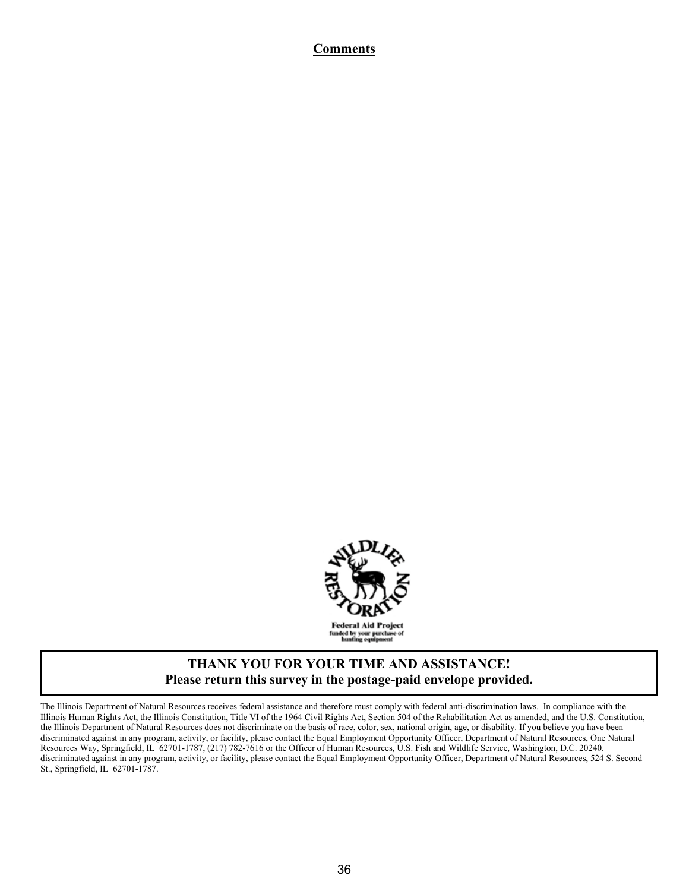#### **Comments**



#### **THANK YOU FOR YOUR TIME AND ASSISTANCE! Please return this survey in the postage-paid envelope provided.**

The Illinois Department of Natural Resources receives federal assistance and therefore must comply with federal anti-discrimination laws. In compliance with the Illinois Human Rights Act, the Illinois Constitution, Title VI of the 1964 Civil Rights Act, Section 504 of the Rehabilitation Act as amended, and the U.S. Constitution, the Illinois Department of Natural Resources does not discriminate on the basis of race, color, sex, national origin, age, or disability. If you believe you have been discriminated against in any program, activity, or facility, please contact the Equal Employment Opportunity Officer, Department of Natural Resources, One Natural Resources Way, Springfield, IL 62701-1787, (217) 782-7616 or the Officer of Human Resources, U.S. Fish and Wildlife Service, Washington, D.C. 20240. discriminated against in any program, activity, or facility, please contact the Equal Employment Opportunity Officer, Department of Natural Resources, 524 S. Second St., Springfield, IL 62701-1787.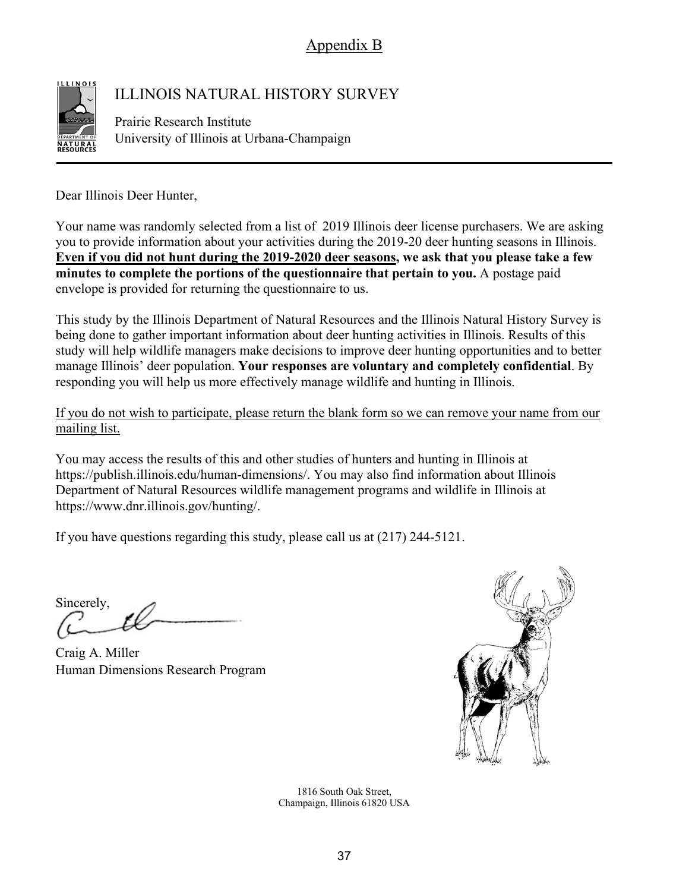Appendix B



## ILLINOIS NATURAL HISTORY SURVEY

Prairie Research Institute University of Illinois at Urbana-Champaign

Dear Illinois Deer Hunter,

Your name was randomly selected from a list of 2019 Illinois deer license purchasers. We are asking you to provide information about your activities during the 2019-20 deer hunting seasons in Illinois. **Even if you did not hunt during the 2019-2020 deer seasons, we ask that you please take a few minutes to complete the portions of the questionnaire that pertain to you.** A postage paid envelope is provided for returning the questionnaire to us.

This study by the Illinois Department of Natural Resources and the Illinois Natural History Survey is being done to gather important information about deer hunting activities in Illinois. Results of this study will help wildlife managers make decisions to improve deer hunting opportunities and to better manage Illinois' deer population. **Your responses are voluntary and completely confidential**. By responding you will help us more effectively manage wildlife and hunting in Illinois.

If you do not wish to participate, please return the blank form so we can remove your name from our mailing list.

You may access the results of this and other studies of hunters and hunting in Illinois at https://publish.illinois.edu/human-dimensions/. You may also find information about Illinois Department of Natural Resources wildlife management programs and wildlife in Illinois at https://www.dnr.illinois.gov/hunting/.

If you have questions regarding this study, please call us at (217) 244-5121.

Sincerely,

Craig A. Miller Human Dimensions Research Program



1816 South Oak Street, Champaign, Illinois 61820 USA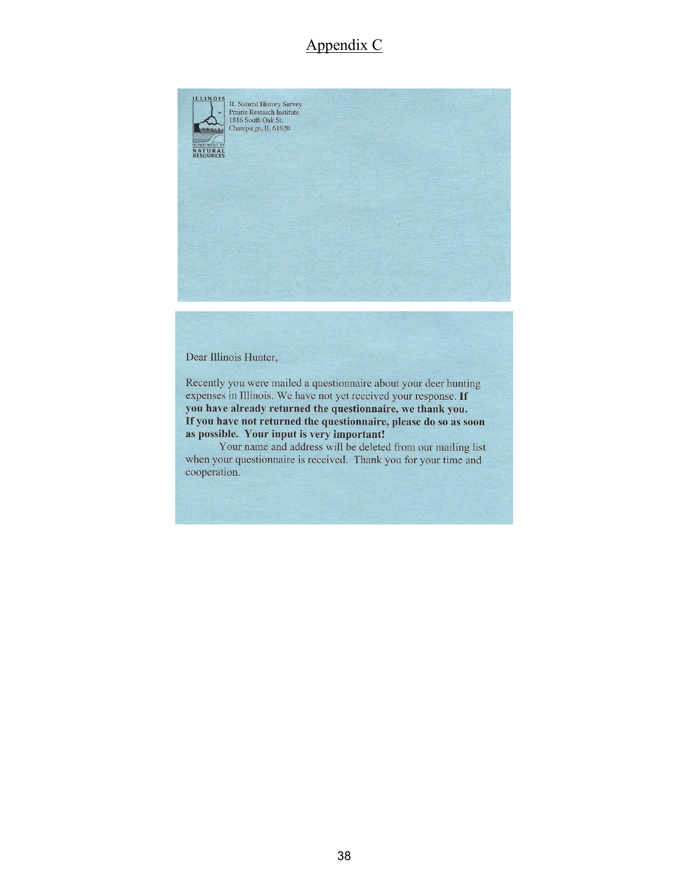## Appendix C



Dear Illinois Hunter,

Recently you were mailed a questionnaire about your deer hunting expenses in Illinois. We have not yet received your response. If you have already returned the questionnaire, we thank you. If you have not returned the questionnaire, please do so as soon as possible. Your input is very important!

Your name and address will be deleted from our mailing list when your questionnaire is received. Thank you for your time and cooperation.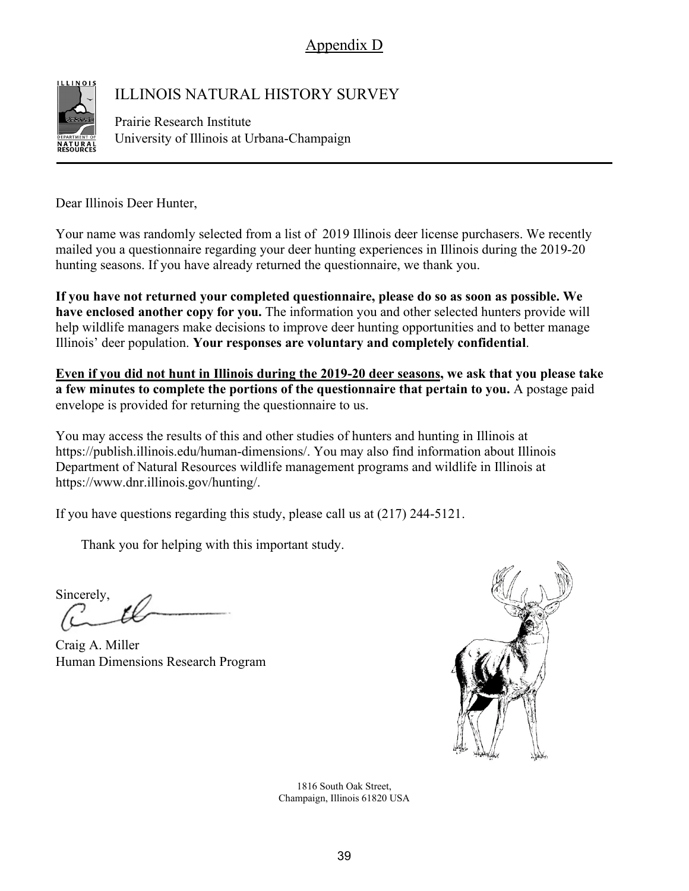Appendix D



## ILLINOIS NATURAL HISTORY SURVEY

Prairie Research Institute University of Illinois at Urbana-Champaign

Dear Illinois Deer Hunter,

Your name was randomly selected from a list of 2019 Illinois deer license purchasers. We recently mailed you a questionnaire regarding your deer hunting experiences in Illinois during the 2019-20 hunting seasons. If you have already returned the questionnaire, we thank you.

**If you have not returned your completed questionnaire, please do so as soon as possible. We have enclosed another copy for you.** The information you and other selected hunters provide will help wildlife managers make decisions to improve deer hunting opportunities and to better manage Illinois' deer population. **Your responses are voluntary and completely confidential**.

**Even if you did not hunt in Illinois during the 2019-20 deer seasons, we ask that you please take a few minutes to complete the portions of the questionnaire that pertain to you.** A postage paid envelope is provided for returning the questionnaire to us.

You may access the results of this and other studies of hunters and hunting in Illinois at https://publish.illinois.edu/human-dimensions/. You may also find information about Illinois Department of Natural Resources wildlife management programs and wildlife in Illinois at https://www.dnr.illinois.gov/hunting/.

If you have questions regarding this study, please call us at (217) 244-5121.

Thank you for helping with this important study.

Sincerely,

Craig A. Miller Human Dimensions Research Program



1816 South Oak Street, Champaign, Illinois 61820 USA